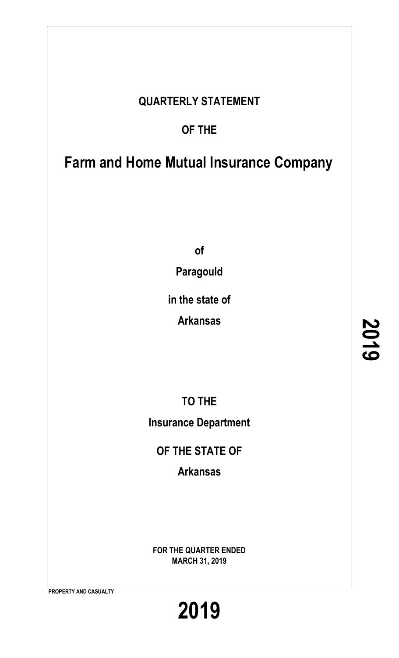# **QUARTERLY STATEMENT**

# **OF THE**

# **Farm and Home Mutual Insurance Company**

**of**

**Paragould**

**in the state of**

**Arkansas**

**TO THE Insurance Department**

**OF THE STATE OF**

**Arkansas**

**FOR THE QUARTER ENDED MARCH 31, 2019**

**PROPERTY AND CASUALTY**

**2019**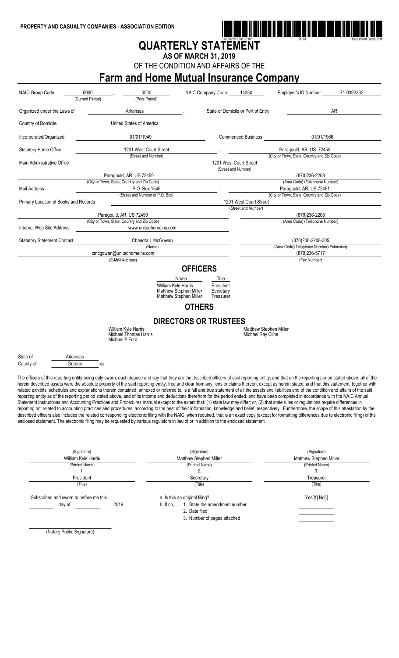

# **QUARTERLY STATEMENT**

**AS OF MARCH 31, 2019**

OF THE CONDITION AND AFFAIRS OF THE

# **Farm and Home Mutual Insurance Company**

| <b>NAIC Group Code</b>                      | 0000<br>(Current Period)           | 0000<br>(Prior Period)                                                                                                                                                                                                                                                                                                                                                                                                                                                                                                                                                                                                                                                                                                                                                                                                                                                                                                                                                                                                                                                                                                                                                                                                                                                                                                                                                                                                                                                                                                                                     |                                       | NAIC Company Code                                   | 14250                                              | Employer's ID Number                         | 71-0392332 |
|---------------------------------------------|------------------------------------|------------------------------------------------------------------------------------------------------------------------------------------------------------------------------------------------------------------------------------------------------------------------------------------------------------------------------------------------------------------------------------------------------------------------------------------------------------------------------------------------------------------------------------------------------------------------------------------------------------------------------------------------------------------------------------------------------------------------------------------------------------------------------------------------------------------------------------------------------------------------------------------------------------------------------------------------------------------------------------------------------------------------------------------------------------------------------------------------------------------------------------------------------------------------------------------------------------------------------------------------------------------------------------------------------------------------------------------------------------------------------------------------------------------------------------------------------------------------------------------------------------------------------------------------------------|---------------------------------------|-----------------------------------------------------|----------------------------------------------------|----------------------------------------------|------------|
| Organized under the Laws of                 |                                    | Arkansas                                                                                                                                                                                                                                                                                                                                                                                                                                                                                                                                                                                                                                                                                                                                                                                                                                                                                                                                                                                                                                                                                                                                                                                                                                                                                                                                                                                                                                                                                                                                                   |                                       |                                                     | State of Domicile or Port of Entry                 |                                              | AR         |
| Country of Domicile                         |                                    | United States of America                                                                                                                                                                                                                                                                                                                                                                                                                                                                                                                                                                                                                                                                                                                                                                                                                                                                                                                                                                                                                                                                                                                                                                                                                                                                                                                                                                                                                                                                                                                                   |                                       |                                                     |                                                    |                                              |            |
| Incorporated/Organized                      |                                    | 01/01/1949                                                                                                                                                                                                                                                                                                                                                                                                                                                                                                                                                                                                                                                                                                                                                                                                                                                                                                                                                                                                                                                                                                                                                                                                                                                                                                                                                                                                                                                                                                                                                 |                                       |                                                     | <b>Commenced Business</b>                          | 01/01/1966                                   |            |
| <b>Statutory Home Office</b>                |                                    | 1201 West Court Street                                                                                                                                                                                                                                                                                                                                                                                                                                                                                                                                                                                                                                                                                                                                                                                                                                                                                                                                                                                                                                                                                                                                                                                                                                                                                                                                                                                                                                                                                                                                     |                                       |                                                     |                                                    | Paragould, AR, US 72450                      |            |
|                                             |                                    | (Street and Number)                                                                                                                                                                                                                                                                                                                                                                                                                                                                                                                                                                                                                                                                                                                                                                                                                                                                                                                                                                                                                                                                                                                                                                                                                                                                                                                                                                                                                                                                                                                                        |                                       |                                                     |                                                    | (City or Town, State, Country and Zip Code)  |            |
| Main Administrative Office                  |                                    |                                                                                                                                                                                                                                                                                                                                                                                                                                                                                                                                                                                                                                                                                                                                                                                                                                                                                                                                                                                                                                                                                                                                                                                                                                                                                                                                                                                                                                                                                                                                                            |                                       |                                                     | 1201 West Court Street<br>(Street and Number)      |                                              |            |
|                                             |                                    | Paragould, AR, US 72450                                                                                                                                                                                                                                                                                                                                                                                                                                                                                                                                                                                                                                                                                                                                                                                                                                                                                                                                                                                                                                                                                                                                                                                                                                                                                                                                                                                                                                                                                                                                    |                                       |                                                     |                                                    | (870)236-2208                                |            |
|                                             |                                    | (City or Town, State, Country and Zip Code)                                                                                                                                                                                                                                                                                                                                                                                                                                                                                                                                                                                                                                                                                                                                                                                                                                                                                                                                                                                                                                                                                                                                                                                                                                                                                                                                                                                                                                                                                                                |                                       |                                                     |                                                    | (Area Code) (Telephone Number)               |            |
| <b>Mail Address</b>                         |                                    | P.O. Box 1546                                                                                                                                                                                                                                                                                                                                                                                                                                                                                                                                                                                                                                                                                                                                                                                                                                                                                                                                                                                                                                                                                                                                                                                                                                                                                                                                                                                                                                                                                                                                              |                                       |                                                     |                                                    | Paragould, AR, US 72451                      |            |
|                                             |                                    | (Street and Number or P.O. Box)                                                                                                                                                                                                                                                                                                                                                                                                                                                                                                                                                                                                                                                                                                                                                                                                                                                                                                                                                                                                                                                                                                                                                                                                                                                                                                                                                                                                                                                                                                                            |                                       |                                                     |                                                    | (City or Town, State, Country and Zip Code)  |            |
| Primary Location of Books and Records       |                                    |                                                                                                                                                                                                                                                                                                                                                                                                                                                                                                                                                                                                                                                                                                                                                                                                                                                                                                                                                                                                                                                                                                                                                                                                                                                                                                                                                                                                                                                                                                                                                            |                                       |                                                     | 1201 West Court Street                             |                                              |            |
|                                             |                                    |                                                                                                                                                                                                                                                                                                                                                                                                                                                                                                                                                                                                                                                                                                                                                                                                                                                                                                                                                                                                                                                                                                                                                                                                                                                                                                                                                                                                                                                                                                                                                            |                                       |                                                     | (Street and Number)                                |                                              |            |
|                                             |                                    | Paragould, AR, US 72450                                                                                                                                                                                                                                                                                                                                                                                                                                                                                                                                                                                                                                                                                                                                                                                                                                                                                                                                                                                                                                                                                                                                                                                                                                                                                                                                                                                                                                                                                                                                    |                                       |                                                     |                                                    | (870)236-2208                                |            |
| Internet Web Site Address                   |                                    | (City or Town, State, Country and Zip Code)<br>www.unitedhomeins.com                                                                                                                                                                                                                                                                                                                                                                                                                                                                                                                                                                                                                                                                                                                                                                                                                                                                                                                                                                                                                                                                                                                                                                                                                                                                                                                                                                                                                                                                                       |                                       |                                                     |                                                    | (Area Code) (Telephone Number)               |            |
| <b>Statutory Statement Contact</b>          |                                    | Chandra L McGowan                                                                                                                                                                                                                                                                                                                                                                                                                                                                                                                                                                                                                                                                                                                                                                                                                                                                                                                                                                                                                                                                                                                                                                                                                                                                                                                                                                                                                                                                                                                                          |                                       |                                                     |                                                    | (870)236-2208-305                            |            |
|                                             |                                    | (Name)                                                                                                                                                                                                                                                                                                                                                                                                                                                                                                                                                                                                                                                                                                                                                                                                                                                                                                                                                                                                                                                                                                                                                                                                                                                                                                                                                                                                                                                                                                                                                     |                                       |                                                     |                                                    | (Area Code)(Telephone Number)(Extension)     |            |
|                                             |                                    | cmcqowan@unitedhomeins.com                                                                                                                                                                                                                                                                                                                                                                                                                                                                                                                                                                                                                                                                                                                                                                                                                                                                                                                                                                                                                                                                                                                                                                                                                                                                                                                                                                                                                                                                                                                                 |                                       |                                                     |                                                    | (870) 236-5717                               |            |
|                                             |                                    | (E-Mail Address)                                                                                                                                                                                                                                                                                                                                                                                                                                                                                                                                                                                                                                                                                                                                                                                                                                                                                                                                                                                                                                                                                                                                                                                                                                                                                                                                                                                                                                                                                                                                           |                                       |                                                     |                                                    | (Fax Number)                                 |            |
|                                             |                                    | William Kyle Harris<br><b>Matthew Stephen Miller</b><br>Matthew Stephen Miller                                                                                                                                                                                                                                                                                                                                                                                                                                                                                                                                                                                                                                                                                                                                                                                                                                                                                                                                                                                                                                                                                                                                                                                                                                                                                                                                                                                                                                                                             | Name<br><b>OTHERS</b>                 | <b>Title</b><br>President<br>Secretary<br>Treasurer |                                                    |                                              |            |
|                                             |                                    |                                                                                                                                                                                                                                                                                                                                                                                                                                                                                                                                                                                                                                                                                                                                                                                                                                                                                                                                                                                                                                                                                                                                                                                                                                                                                                                                                                                                                                                                                                                                                            |                                       | <b>DIRECTORS OR TRUSTEES</b>                        |                                                    |                                              |            |
|                                             |                                    | William Kyle Harris<br>Michael Thomas Harris<br>Michael P Ford                                                                                                                                                                                                                                                                                                                                                                                                                                                                                                                                                                                                                                                                                                                                                                                                                                                                                                                                                                                                                                                                                                                                                                                                                                                                                                                                                                                                                                                                                             |                                       |                                                     | <b>Matthew Stephen Miller</b><br>Michael Ray Cline |                                              |            |
| State of<br>Arkansas<br>County of<br>Greene | SS                                 |                                                                                                                                                                                                                                                                                                                                                                                                                                                                                                                                                                                                                                                                                                                                                                                                                                                                                                                                                                                                                                                                                                                                                                                                                                                                                                                                                                                                                                                                                                                                                            |                                       |                                                     |                                                    |                                              |            |
|                                             |                                    | The officers of this reporting entity being duly sworn, each depose and say that they are the described officers of said reporting entity, and that on the reporting period stated above, all of the<br>herein described assets were the absolute property of the said reporting entity, free and clear from any liens or claims thereon, except as herein stated, and that this statement, together with<br>related exhibits, schedules and explanations therein contained, annexed or referred to, is a full and true statement of all the assets and liabilities and of the condition and affairs of the said<br>reporting entity as of the reporting period stated above, and of its income and deductions therefrom for the period ended, and have been completed in accordance with the NAIC Annual<br>Statement Instructions and Accounting Practices and Procedures manual except to the extent that: (1) state law may differ; or, (2) that state rules or regulations require differences in<br>reporting not related to accounting practices and procedures, according to the best of their information, knowledge and belief, respectively. Furthermore, the scope of this attestation by the<br>described officers also includes the related corresponding electronic filing with the NAIC, when required, that is an exact copy (except for formatting differences due to electronic filing) of the<br>enclosed statement. The electronic filing may be requested by various regulators in lieu of or in addition to the enclosed statement. |                                       |                                                     |                                                    |                                              |            |
|                                             | (Signature)<br>William Kyle Harris |                                                                                                                                                                                                                                                                                                                                                                                                                                                                                                                                                                                                                                                                                                                                                                                                                                                                                                                                                                                                                                                                                                                                                                                                                                                                                                                                                                                                                                                                                                                                                            | (Signature)<br>Matthew Stephen Miller |                                                     |                                                    | (Signature)<br><b>Matthew Stephen Miller</b> |            |

| William Kyle Harris                                        |  | Matthew Stephen Miller                                                                                                       | Matthew Stephen Miller |
|------------------------------------------------------------|--|------------------------------------------------------------------------------------------------------------------------------|------------------------|
| (Printed Name)                                             |  | (Printed Name)                                                                                                               | (Printed Name)         |
|                                                            |  |                                                                                                                              | ა.                     |
| President                                                  |  | Secretary                                                                                                                    | Treasurer              |
| (Title)                                                    |  | (Title)                                                                                                                      | (Title)                |
| Subscribed and sworn to before me this<br>. 2019<br>day of |  | a. Is this an original filing?<br>1. State the amendment number<br>b. If no.<br>2. Date filed<br>3. Number of pages attached | Yes[X] No[]            |

(Notary Public Signature)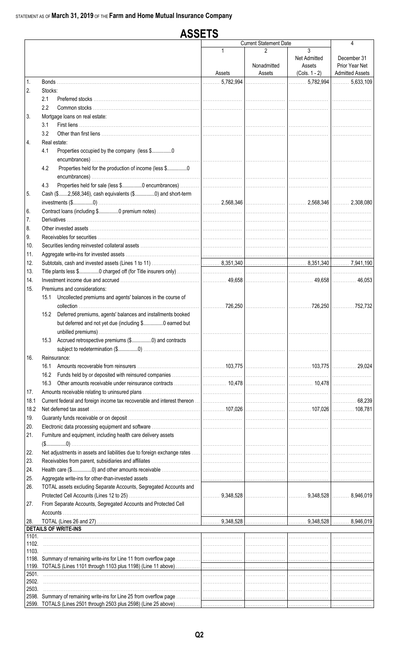#### **ASSETS Current Statement Date**  $\overline{\mathbf{A}}$  $\overline{3}$  $\mathfrak{p}$ Net Admitted December 31 Nonadmitted Prior Year Net Assets **Admitted Assets**  $(Cols. 1 - 2)$ Assets Assets ......... 5,782,994 5,782,994  $\ldots 5.633.109$  $\mathbf{1}$ Bonds.  $\overline{2}$ . Stocks: Preferred stocks.  $2.1$  $2.2$ Common stocks  $\overline{3}$ Mortgage loans on real estate:  $3.1$ First liens ............. 32 4. Real estate: 41 Properties occupied by the company (less \$.................0 Properties held for the production of income (less \$................0  $4.2$  $4.3$ Properties held for sale (less \$................0 encumbrances) .. 5 Cash (\$.......2,568,346), cash equivalents (\$................0) and short-term 2.568.346 2.568.346 2.308,080 Contract loans (including \$................0 premium notes)... 6. **Derivatives**  $\overline{7}$ . 8. Other invested assets Receivables for securities ... 9.  $10.$ Securities lending reinvested collateral assets 11. Aggregate write-ins for invested assets ...  $12.$ Subtotals, cash and invested assets (Lines 1 to 11) 8,351,340 8,351,340 7,941,190 13. Title plants less \$................0 charged off (for Title insurers only)  $14$ 49.658 49.658  $46.053$  $15<sub>1</sub>$ Premiums and considerations: 15.1 Uncollected premiums and agents' balances in the course of collection .....................  $.726.250$  $.726.250$  $\ldots$  752.732 15.2 Deferred premiums, agents' balances and installments booked but deferred and not yet due (including \$................0 earned but unbilled premiums)... 15.3 Accrued retrospective premiums (\$.................0) and contracts 16. Reinsurance: 16.1 Amounts recoverable from reinsurers ................. 103,775 103,775 29.024 16.2 Funds held by or deposited with reinsured companies . . . . . . . . . . . . . . . . . . . 10,478 16.3 Other amounts receivable under reinsurance contracts 10,478  $17.$ Amounts receivable relating to uninsured plans .... 18.1 Current federal and foreign income tax recoverable and interest thereon 68,239 18.2 Net deferred tax asset ..... 107.026 107.026 108 781  $19$ Guaranty funds receivable or on deposit ..  $20<sub>1</sub>$ Electronic data processing equipment and software ........ Furniture and equipment, including health care delivery assets  $21<sub>1</sub>$  $( \$............0)$ 22. Net adjustments in assets and liabilities due to foreign exchange rates ... 23. Receivables from parent, subsidiaries and affiliates. 24. Health care (\$................0) and other amounts receivable 25. Aggregate write-ins for other-than-invested assets TOTAL assets excluding Separate Accounts, Segregated Accounts and 26. 9,348,528 9,348,528 8,946,019 27. From Separate Accounts, Segregated Accounts and Protected Cell Accounts TOTAL (Lines 26 and 27) 28 9,348,528 9,348,528 8.946.019 **DETAILS OF WRITE-INS**  $1101$ 1102. 1103. 1198. Summary of remaining write-ins for Line 11 from overflow page 1199. TOTALS (Lines 1101 through 1103 plus 1198) (Line 11 above) 2501 2502. 2503 2598. Summary of remaining write-ins for Line 25 from overflow page 2599. TOTALS (Lines 2501 through 2503 plus 2598) (Line 25 above)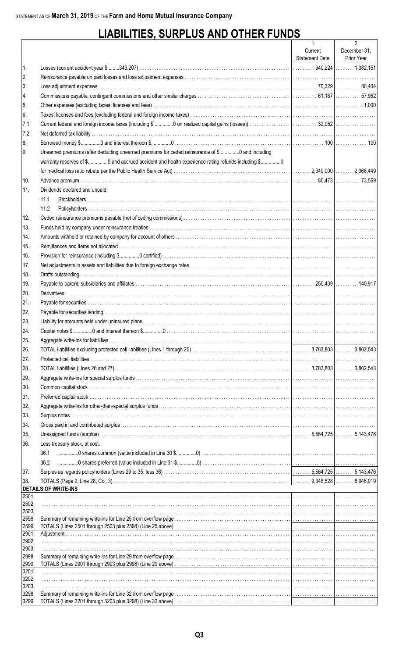# **LIABILITIES, SURPLUS AND OTHER FUNDS**

|                |                                                                                                                                                                                                                                | $\mathbf{1}$              | $\overline{2}$             |
|----------------|--------------------------------------------------------------------------------------------------------------------------------------------------------------------------------------------------------------------------------|---------------------------|----------------------------|
|                |                                                                                                                                                                                                                                | Current<br>Statement Date | December 31,<br>Prior Year |
| 1.             |                                                                                                                                                                                                                                |                           |                            |
| 2.             |                                                                                                                                                                                                                                |                           |                            |
| 3.             |                                                                                                                                                                                                                                |                           |                            |
| 4.             |                                                                                                                                                                                                                                |                           |                            |
| 5.             |                                                                                                                                                                                                                                |                           |                            |
| 6.             |                                                                                                                                                                                                                                |                           |                            |
| 7.1            |                                                                                                                                                                                                                                |                           |                            |
| 7.2            |                                                                                                                                                                                                                                |                           |                            |
| 8.             |                                                                                                                                                                                                                                |                           |                            |
| 9.             | Unearned premiums (after deducting unearned premiums for ceded reinsurance of \$0 and including                                                                                                                                |                           |                            |
|                | warranty reserves of \$0 and accrued accident and health experience rating refunds including \$0                                                                                                                               |                           |                            |
|                |                                                                                                                                                                                                                                |                           |                            |
| 10.            |                                                                                                                                                                                                                                |                           |                            |
| 11.            | Dividends declared and unpaid:                                                                                                                                                                                                 |                           |                            |
|                | 11.1                                                                                                                                                                                                                           |                           |                            |
|                | 11.2                                                                                                                                                                                                                           |                           |                            |
| 12.            |                                                                                                                                                                                                                                |                           |                            |
| 13.            | Funds held by company under reinsurance treaties with the content of the content of the content of the content of the content of the content of the content of the content of the content of the content of the content of the |                           |                            |
| 14.            |                                                                                                                                                                                                                                |                           |                            |
| 15.            |                                                                                                                                                                                                                                |                           |                            |
| 16.            |                                                                                                                                                                                                                                |                           |                            |
| 17.            |                                                                                                                                                                                                                                |                           |                            |
| 18.            |                                                                                                                                                                                                                                |                           |                            |
| 19.            |                                                                                                                                                                                                                                |                           |                            |
| 20.            |                                                                                                                                                                                                                                |                           |                            |
| 21.            |                                                                                                                                                                                                                                |                           |                            |
| 22.            |                                                                                                                                                                                                                                |                           |                            |
| 23.            |                                                                                                                                                                                                                                |                           |                            |
| 24.            |                                                                                                                                                                                                                                |                           |                            |
| 25.            |                                                                                                                                                                                                                                |                           |                            |
| 26.            |                                                                                                                                                                                                                                |                           |                            |
| 27.            |                                                                                                                                                                                                                                |                           |                            |
| 28.            |                                                                                                                                                                                                                                |                           |                            |
| 29.            |                                                                                                                                                                                                                                |                           |                            |
| 30.            |                                                                                                                                                                                                                                |                           |                            |
| 31.            |                                                                                                                                                                                                                                |                           |                            |
| 32.            |                                                                                                                                                                                                                                |                           |                            |
| 33.            |                                                                                                                                                                                                                                |                           |                            |
| 34.            |                                                                                                                                                                                                                                |                           |                            |
| 35.            |                                                                                                                                                                                                                                |                           |                            |
| 36.            | Less treasury stock, at cost:                                                                                                                                                                                                  |                           |                            |
|                | 36.1                                                                                                                                                                                                                           |                           |                            |
|                | 36.2                                                                                                                                                                                                                           |                           |                            |
| 37.            |                                                                                                                                                                                                                                |                           |                            |
| 38.            |                                                                                                                                                                                                                                |                           |                            |
|                | <b>DETAILS OF WRITE-INS</b>                                                                                                                                                                                                    |                           |                            |
| 2501.          |                                                                                                                                                                                                                                |                           |                            |
| 2502.<br>2503. |                                                                                                                                                                                                                                |                           |                            |
| 2598.          |                                                                                                                                                                                                                                |                           |                            |
| 2599.          |                                                                                                                                                                                                                                |                           |                            |
| 2901.          |                                                                                                                                                                                                                                |                           |                            |
| 2902.<br>2903. |                                                                                                                                                                                                                                |                           |                            |
| 2998.          |                                                                                                                                                                                                                                |                           |                            |
| 2999.          | TOTALS (Lines 2901 through 2903 plus 2998) (Line 29 above) <i>matter contained accordination accordination</i> and the                                                                                                         |                           |                            |
| 3201.          |                                                                                                                                                                                                                                |                           |                            |
| 3202.<br>3203. |                                                                                                                                                                                                                                |                           |                            |
| 3298.          |                                                                                                                                                                                                                                |                           |                            |
| 3299.          | TOTALS (Lines 3201 through 3203 plus 3298) (Line 32 above) <i>matter contained accordination accordination</i> and the                                                                                                         |                           |                            |
|                |                                                                                                                                                                                                                                |                           |                            |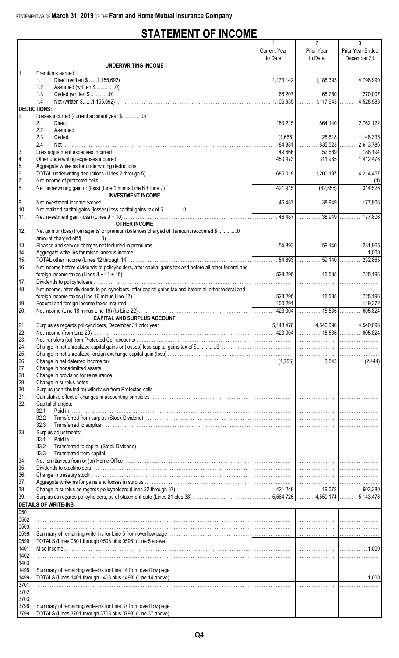# **STATEMENT OF INCOME**

|                    |                                                                                                        | $\mathbf{1}$        | $\overline{2}$ | 3                |
|--------------------|--------------------------------------------------------------------------------------------------------|---------------------|----------------|------------------|
|                    |                                                                                                        | <b>Current Year</b> | Prior Year     | Prior Year Ended |
|                    |                                                                                                        | to Date             | to Date        | December 31      |
|                    | UNDERWRITING INCOME                                                                                    |                     |                |                  |
| $\mathbf{1}$       | Premiums earned                                                                                        |                     |                |                  |
|                    | 1.1<br>1.2                                                                                             |                     |                |                  |
|                    | 1.3                                                                                                    |                     |                |                  |
|                    | 1.4                                                                                                    |                     |                |                  |
| <b>DEDUCTIONS:</b> |                                                                                                        |                     |                |                  |
| I 2.               | Losses incurred (current accident year \$0)                                                            |                     |                |                  |
|                    | 2.1                                                                                                    |                     |                |                  |
|                    | 2.2                                                                                                    |                     |                |                  |
|                    | 2.3                                                                                                    |                     |                |                  |
|                    | 2.4                                                                                                    |                     |                |                  |
| 3.                 |                                                                                                        |                     |                |                  |
| 4.                 |                                                                                                        |                     |                |                  |
| 5.                 |                                                                                                        |                     |                |                  |
| 6.                 |                                                                                                        |                     |                |                  |
| 17.                |                                                                                                        |                     |                |                  |
| 8.                 | <b>INVESTMENT INCOME</b>                                                                               |                     |                |                  |
| 9.                 |                                                                                                        |                     |                |                  |
| 10.                |                                                                                                        |                     |                |                  |
| 11.                |                                                                                                        |                     |                |                  |
|                    | <b>OTHER INCOME</b>                                                                                    |                     |                |                  |
| 12.                | Net gain or (loss) from agents' or premium balances charged off (amount recovered \$0                  |                     |                |                  |
|                    |                                                                                                        |                     |                |                  |
| 13.                |                                                                                                        |                     |                |                  |
| 14.                |                                                                                                        |                     |                |                  |
| 15.                |                                                                                                        |                     |                |                  |
| 16.                | Net income before dividends to policyholders, after capital gains tax and before all other federal and |                     |                |                  |
|                    |                                                                                                        |                     |                |                  |
| 17.                |                                                                                                        |                     |                |                  |
| 18.                | Net income, after dividends to policyholders, after capital gains tax and before all other federal and |                     |                |                  |
|                    |                                                                                                        |                     |                |                  |
| 19.                |                                                                                                        |                     |                |                  |
| 20.                |                                                                                                        |                     |                |                  |
|                    | <b>CAPITAL AND SURPLUS ACCOUNT</b>                                                                     |                     |                |                  |
| 21.                |                                                                                                        |                     |                |                  |
| 22.                |                                                                                                        |                     |                |                  |
| 23.                |                                                                                                        |                     |                |                  |
| 24.                |                                                                                                        |                     |                |                  |
| 25.                |                                                                                                        |                     |                |                  |
| 26.                |                                                                                                        |                     |                |                  |
| 27.                |                                                                                                        |                     |                |                  |
| 28.<br>29.         |                                                                                                        |                     |                |                  |
| 30.                |                                                                                                        |                     |                |                  |
| 31.                |                                                                                                        |                     |                |                  |
| 32.                | Capital changes:                                                                                       |                     |                |                  |
|                    | 32.1                                                                                                   |                     |                |                  |
|                    | 32.2                                                                                                   |                     |                |                  |
|                    | 32.3                                                                                                   |                     |                |                  |
| 33.                | Surplus adjustments:                                                                                   |                     |                |                  |
|                    | 33.1<br>Paid in                                                                                        |                     |                |                  |
|                    | 33.2                                                                                                   |                     |                |                  |
|                    | 33.3                                                                                                   |                     |                |                  |
| 34.                |                                                                                                        |                     |                |                  |
| 35.                |                                                                                                        |                     |                |                  |
| 36.                |                                                                                                        |                     |                |                  |
| 37.                |                                                                                                        |                     |                |                  |
| 38.<br>39.         |                                                                                                        |                     |                |                  |
|                    | <b>DETAILS OF WRITE-INS</b>                                                                            |                     |                |                  |
| 0501.              |                                                                                                        |                     |                |                  |
| 0502.              |                                                                                                        |                     |                |                  |
| 0503.              |                                                                                                        |                     |                |                  |
| 0598.              |                                                                                                        |                     |                |                  |
| 0599.              |                                                                                                        |                     |                |                  |
| 1401.              |                                                                                                        |                     |                |                  |
| 1402.              |                                                                                                        |                     |                |                  |
| 1403.              |                                                                                                        |                     |                |                  |
| 1498.              |                                                                                                        |                     |                |                  |
| 1499.              |                                                                                                        |                     |                |                  |
| 3701.              |                                                                                                        |                     |                |                  |
| 3702.              |                                                                                                        |                     |                |                  |
| 3703.              |                                                                                                        |                     |                |                  |
| 3798.              |                                                                                                        |                     |                |                  |
| 3799.              |                                                                                                        |                     |                |                  |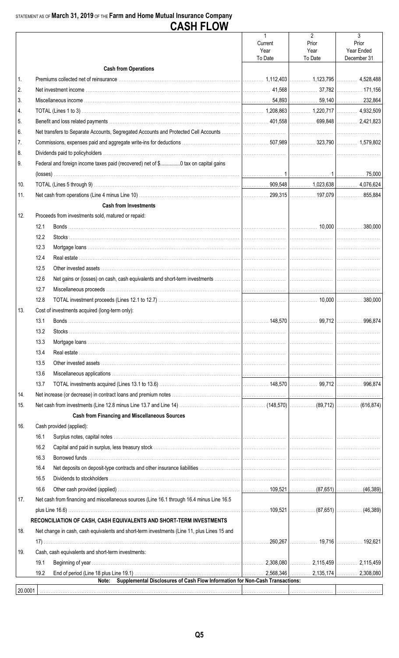## STATEMENT AS OF March 31, 2019 OF THE Farm and Home Mutual Insurance Company **CASH FLOW**

| <b>Cash from Operations</b><br>1.<br>2.<br>3.<br>4.<br>5.<br>6.<br>7.<br>8.<br>9.<br>Federal and foreign income taxes paid (recovered) net of \$0 tax on capital gains<br>10.<br>11.<br><b>Cash from Investments</b><br>12.<br>Proceeds from investments sold, matured or repaid:<br>12.1<br>12.2<br>12.3<br>12.4<br>12.5<br>12.6<br>12.7<br>12.8<br>13.<br>Cost of investments acquired (long-term only):<br>148,570<br>99.712<br>13.1<br>Bonds<br>13.2<br>13.3<br>13.4<br>13.5<br>13.6<br>13.7<br>14.<br>15.<br><b>Cash from Financing and Miscellaneous Sources</b><br>Cash provided (applied):<br>16.<br>16.1<br>16.2<br>16.3<br>16.4<br>16.5<br>16.6<br>17.<br>Net cash from financing and miscellaneous sources (Line 16.1 through 16.4 minus Line 16.5<br>RECONCILIATION OF CASH, CASH EQUIVALENTS AND SHORT-TERM INVESTMENTS<br>18.<br>Net change in cash, cash equivalents and short-term investments (Line 11, plus Lines 15 and<br>260.267   280.267   19,716   280.267   197.621<br>19.<br>Cash, cash equivalents and short-term investments:<br>19.1<br>19.2<br>Supplemental Disclosures of Cash Flow Information for Non-Cash Transactions:<br>Note:<br>20.0001 |  | $\mathbf{1}$<br>Current<br>Year | $\overline{2}$<br>Prior<br>Year | 3<br>Prior<br>Year Ended |
|-------------------------------------------------------------------------------------------------------------------------------------------------------------------------------------------------------------------------------------------------------------------------------------------------------------------------------------------------------------------------------------------------------------------------------------------------------------------------------------------------------------------------------------------------------------------------------------------------------------------------------------------------------------------------------------------------------------------------------------------------------------------------------------------------------------------------------------------------------------------------------------------------------------------------------------------------------------------------------------------------------------------------------------------------------------------------------------------------------------------------------------------------------------------------------|--|---------------------------------|---------------------------------|--------------------------|
| 996.874                                                                                                                                                                                                                                                                                                                                                                                                                                                                                                                                                                                                                                                                                                                                                                                                                                                                                                                                                                                                                                                                                                                                                                       |  | To Date                         | To Date                         | December 31              |
|                                                                                                                                                                                                                                                                                                                                                                                                                                                                                                                                                                                                                                                                                                                                                                                                                                                                                                                                                                                                                                                                                                                                                                               |  |                                 |                                 |                          |
|                                                                                                                                                                                                                                                                                                                                                                                                                                                                                                                                                                                                                                                                                                                                                                                                                                                                                                                                                                                                                                                                                                                                                                               |  |                                 |                                 |                          |
|                                                                                                                                                                                                                                                                                                                                                                                                                                                                                                                                                                                                                                                                                                                                                                                                                                                                                                                                                                                                                                                                                                                                                                               |  |                                 |                                 |                          |
|                                                                                                                                                                                                                                                                                                                                                                                                                                                                                                                                                                                                                                                                                                                                                                                                                                                                                                                                                                                                                                                                                                                                                                               |  |                                 |                                 |                          |
|                                                                                                                                                                                                                                                                                                                                                                                                                                                                                                                                                                                                                                                                                                                                                                                                                                                                                                                                                                                                                                                                                                                                                                               |  |                                 |                                 |                          |
|                                                                                                                                                                                                                                                                                                                                                                                                                                                                                                                                                                                                                                                                                                                                                                                                                                                                                                                                                                                                                                                                                                                                                                               |  |                                 |                                 |                          |
|                                                                                                                                                                                                                                                                                                                                                                                                                                                                                                                                                                                                                                                                                                                                                                                                                                                                                                                                                                                                                                                                                                                                                                               |  |                                 |                                 |                          |
|                                                                                                                                                                                                                                                                                                                                                                                                                                                                                                                                                                                                                                                                                                                                                                                                                                                                                                                                                                                                                                                                                                                                                                               |  |                                 |                                 |                          |
|                                                                                                                                                                                                                                                                                                                                                                                                                                                                                                                                                                                                                                                                                                                                                                                                                                                                                                                                                                                                                                                                                                                                                                               |  |                                 |                                 |                          |
|                                                                                                                                                                                                                                                                                                                                                                                                                                                                                                                                                                                                                                                                                                                                                                                                                                                                                                                                                                                                                                                                                                                                                                               |  |                                 |                                 |                          |
|                                                                                                                                                                                                                                                                                                                                                                                                                                                                                                                                                                                                                                                                                                                                                                                                                                                                                                                                                                                                                                                                                                                                                                               |  |                                 |                                 |                          |
|                                                                                                                                                                                                                                                                                                                                                                                                                                                                                                                                                                                                                                                                                                                                                                                                                                                                                                                                                                                                                                                                                                                                                                               |  |                                 |                                 |                          |
|                                                                                                                                                                                                                                                                                                                                                                                                                                                                                                                                                                                                                                                                                                                                                                                                                                                                                                                                                                                                                                                                                                                                                                               |  |                                 |                                 |                          |
|                                                                                                                                                                                                                                                                                                                                                                                                                                                                                                                                                                                                                                                                                                                                                                                                                                                                                                                                                                                                                                                                                                                                                                               |  |                                 |                                 |                          |
|                                                                                                                                                                                                                                                                                                                                                                                                                                                                                                                                                                                                                                                                                                                                                                                                                                                                                                                                                                                                                                                                                                                                                                               |  |                                 |                                 |                          |
|                                                                                                                                                                                                                                                                                                                                                                                                                                                                                                                                                                                                                                                                                                                                                                                                                                                                                                                                                                                                                                                                                                                                                                               |  |                                 |                                 |                          |
|                                                                                                                                                                                                                                                                                                                                                                                                                                                                                                                                                                                                                                                                                                                                                                                                                                                                                                                                                                                                                                                                                                                                                                               |  |                                 |                                 |                          |
|                                                                                                                                                                                                                                                                                                                                                                                                                                                                                                                                                                                                                                                                                                                                                                                                                                                                                                                                                                                                                                                                                                                                                                               |  |                                 |                                 |                          |
|                                                                                                                                                                                                                                                                                                                                                                                                                                                                                                                                                                                                                                                                                                                                                                                                                                                                                                                                                                                                                                                                                                                                                                               |  |                                 |                                 |                          |
|                                                                                                                                                                                                                                                                                                                                                                                                                                                                                                                                                                                                                                                                                                                                                                                                                                                                                                                                                                                                                                                                                                                                                                               |  |                                 |                                 |                          |
|                                                                                                                                                                                                                                                                                                                                                                                                                                                                                                                                                                                                                                                                                                                                                                                                                                                                                                                                                                                                                                                                                                                                                                               |  |                                 |                                 |                          |
|                                                                                                                                                                                                                                                                                                                                                                                                                                                                                                                                                                                                                                                                                                                                                                                                                                                                                                                                                                                                                                                                                                                                                                               |  |                                 |                                 |                          |
|                                                                                                                                                                                                                                                                                                                                                                                                                                                                                                                                                                                                                                                                                                                                                                                                                                                                                                                                                                                                                                                                                                                                                                               |  |                                 |                                 |                          |
|                                                                                                                                                                                                                                                                                                                                                                                                                                                                                                                                                                                                                                                                                                                                                                                                                                                                                                                                                                                                                                                                                                                                                                               |  |                                 |                                 |                          |
|                                                                                                                                                                                                                                                                                                                                                                                                                                                                                                                                                                                                                                                                                                                                                                                                                                                                                                                                                                                                                                                                                                                                                                               |  |                                 |                                 |                          |
|                                                                                                                                                                                                                                                                                                                                                                                                                                                                                                                                                                                                                                                                                                                                                                                                                                                                                                                                                                                                                                                                                                                                                                               |  |                                 |                                 |                          |
|                                                                                                                                                                                                                                                                                                                                                                                                                                                                                                                                                                                                                                                                                                                                                                                                                                                                                                                                                                                                                                                                                                                                                                               |  |                                 |                                 |                          |
|                                                                                                                                                                                                                                                                                                                                                                                                                                                                                                                                                                                                                                                                                                                                                                                                                                                                                                                                                                                                                                                                                                                                                                               |  |                                 |                                 |                          |
|                                                                                                                                                                                                                                                                                                                                                                                                                                                                                                                                                                                                                                                                                                                                                                                                                                                                                                                                                                                                                                                                                                                                                                               |  |                                 |                                 |                          |
|                                                                                                                                                                                                                                                                                                                                                                                                                                                                                                                                                                                                                                                                                                                                                                                                                                                                                                                                                                                                                                                                                                                                                                               |  |                                 |                                 |                          |
|                                                                                                                                                                                                                                                                                                                                                                                                                                                                                                                                                                                                                                                                                                                                                                                                                                                                                                                                                                                                                                                                                                                                                                               |  |                                 |                                 |                          |
|                                                                                                                                                                                                                                                                                                                                                                                                                                                                                                                                                                                                                                                                                                                                                                                                                                                                                                                                                                                                                                                                                                                                                                               |  |                                 |                                 |                          |
|                                                                                                                                                                                                                                                                                                                                                                                                                                                                                                                                                                                                                                                                                                                                                                                                                                                                                                                                                                                                                                                                                                                                                                               |  |                                 |                                 |                          |
|                                                                                                                                                                                                                                                                                                                                                                                                                                                                                                                                                                                                                                                                                                                                                                                                                                                                                                                                                                                                                                                                                                                                                                               |  |                                 |                                 |                          |
|                                                                                                                                                                                                                                                                                                                                                                                                                                                                                                                                                                                                                                                                                                                                                                                                                                                                                                                                                                                                                                                                                                                                                                               |  |                                 |                                 |                          |
|                                                                                                                                                                                                                                                                                                                                                                                                                                                                                                                                                                                                                                                                                                                                                                                                                                                                                                                                                                                                                                                                                                                                                                               |  |                                 |                                 |                          |
|                                                                                                                                                                                                                                                                                                                                                                                                                                                                                                                                                                                                                                                                                                                                                                                                                                                                                                                                                                                                                                                                                                                                                                               |  |                                 |                                 |                          |
|                                                                                                                                                                                                                                                                                                                                                                                                                                                                                                                                                                                                                                                                                                                                                                                                                                                                                                                                                                                                                                                                                                                                                                               |  |                                 |                                 |                          |
|                                                                                                                                                                                                                                                                                                                                                                                                                                                                                                                                                                                                                                                                                                                                                                                                                                                                                                                                                                                                                                                                                                                                                                               |  |                                 |                                 |                          |
|                                                                                                                                                                                                                                                                                                                                                                                                                                                                                                                                                                                                                                                                                                                                                                                                                                                                                                                                                                                                                                                                                                                                                                               |  |                                 |                                 |                          |
|                                                                                                                                                                                                                                                                                                                                                                                                                                                                                                                                                                                                                                                                                                                                                                                                                                                                                                                                                                                                                                                                                                                                                                               |  |                                 |                                 |                          |
|                                                                                                                                                                                                                                                                                                                                                                                                                                                                                                                                                                                                                                                                                                                                                                                                                                                                                                                                                                                                                                                                                                                                                                               |  |                                 |                                 |                          |
|                                                                                                                                                                                                                                                                                                                                                                                                                                                                                                                                                                                                                                                                                                                                                                                                                                                                                                                                                                                                                                                                                                                                                                               |  |                                 |                                 |                          |
|                                                                                                                                                                                                                                                                                                                                                                                                                                                                                                                                                                                                                                                                                                                                                                                                                                                                                                                                                                                                                                                                                                                                                                               |  |                                 |                                 |                          |
|                                                                                                                                                                                                                                                                                                                                                                                                                                                                                                                                                                                                                                                                                                                                                                                                                                                                                                                                                                                                                                                                                                                                                                               |  |                                 |                                 |                          |
|                                                                                                                                                                                                                                                                                                                                                                                                                                                                                                                                                                                                                                                                                                                                                                                                                                                                                                                                                                                                                                                                                                                                                                               |  |                                 |                                 |                          |
|                                                                                                                                                                                                                                                                                                                                                                                                                                                                                                                                                                                                                                                                                                                                                                                                                                                                                                                                                                                                                                                                                                                                                                               |  |                                 |                                 |                          |
|                                                                                                                                                                                                                                                                                                                                                                                                                                                                                                                                                                                                                                                                                                                                                                                                                                                                                                                                                                                                                                                                                                                                                                               |  |                                 |                                 |                          |
|                                                                                                                                                                                                                                                                                                                                                                                                                                                                                                                                                                                                                                                                                                                                                                                                                                                                                                                                                                                                                                                                                                                                                                               |  |                                 |                                 |                          |
|                                                                                                                                                                                                                                                                                                                                                                                                                                                                                                                                                                                                                                                                                                                                                                                                                                                                                                                                                                                                                                                                                                                                                                               |  |                                 |                                 |                          |
|                                                                                                                                                                                                                                                                                                                                                                                                                                                                                                                                                                                                                                                                                                                                                                                                                                                                                                                                                                                                                                                                                                                                                                               |  |                                 |                                 |                          |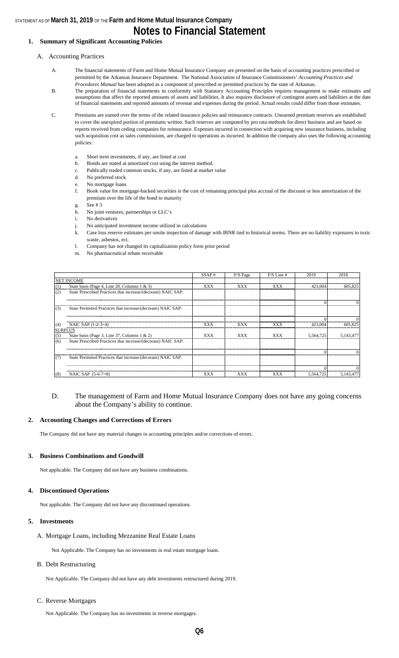### STATEMENT AS OF **March 31, 2019** OF THE **Farm and Home Mutual Insurance Company Notes to Financial Statement**

### **1. Summary of Significant Accounting Policies**

#### A. Accounting Practices

- A. The financial statements of Farm and Home Mutual Insurance Company are presented on the basis of accounting practices prescribed or permitted by the Arkansas Insurance Department. The National Association of Insurance Commissioners' *Accounting Practices and Procedures Manual* has been adopted as a component of prescribed or permitted practices by the state of Arkansas.
- B. The preparation of financial statements in conformity with Statutory Accounting Principles requires management to make estimates and assumptions that affect the reported amounts of assets and liabilities. It also requires disclosure of contingent assets and liabilities at the date of financial statements and reported amounts of revenue and expenses during the period. Actual results could differ from those estimates.
- C. Premiums are earned over the terms of the related insurance policies and reinsurance contracts. Unearned premium reserves are established to cover the unexpired portion of premiums written. Such reserves are computed by pro rata methods for direct business and are based on reports received from ceding companies for reinsurance. Expenses incurred in connection with acquiring new insurance business, including such acquisition cost as sales commissions, are charged to operations as incurred. In addition the company also uses the following accounting policies:
	- a. Short term investments, if any, are listed at cost
	- b. Bonds are stated at amortized cost using the interest method.
	- c. Publically traded common stocks, if any, are listed at market value
	- d. No preferred stock e. No mortgage loans
	- f. Book value for mortgage-backed securities is the cost of remaining principal plus accrual of the discount or less amortization of the premium over the life of the bond to maturity
	- g. See # 3
	- h. No joint ventures, partnerships or LLC's
	- i. No derivatives
	- j. No anticipated investment income utilized in calculations
	- k. Case loss reserve estimates per onsite inspection of damage with IBNR tied to historical norms. There are no liability exposures to toxic waste, asbestos, ect.
	- l. Company has not changed its capitalization policy form prior period
	- m. No pharmaceutical rebate receivable

|     |                                                               | SSAP#      | F/S Page   | $F/S$ Line # | 2019      | 2018      |
|-----|---------------------------------------------------------------|------------|------------|--------------|-----------|-----------|
|     | <b>NET INCOME</b>                                             |            |            |              |           |           |
| (1) | State basis (Page 4, Line 20, Columns 1 & 3)                  | XXX        | <b>XXX</b> | <b>XXX</b>   | 423,004   | 605,825   |
| (2) | State Prescribed Practices that increase/(decrease) NAIC SAP: |            |            |              |           |           |
|     |                                                               |            |            |              |           |           |
| (3) | State Permitted Practices that increase/(decrease) NAIC SAP:  |            |            |              |           |           |
|     |                                                               |            |            |              |           |           |
| (4) | NAIC SAP $(1-2-3=4)$                                          | XXX        | XXX        | XXX          | 423,004   | 605,825   |
|     | <b>SURPLUS</b>                                                |            |            |              |           |           |
| (5) | State basis (Page 3, Line 37, Columns 1 & 2)                  | <b>XXX</b> | <b>XXX</b> | <b>XXX</b>   | 5,564,725 | 5,143,477 |
| (6) | State Prescribed Practices that increase/(decrease) NAIC SAP: |            |            |              |           |           |
|     |                                                               |            |            |              |           |           |
| (7) | State Permitted Practices that increase/(decrease) NAIC SAP:  |            |            |              |           |           |
|     |                                                               |            |            |              |           |           |
| (8) | NAIC SAP $(5-6-7=8)$                                          | <b>XXX</b> | XXX        | XXX          | 5,564,725 | 5,143,477 |

### D. The management of Farm and Home Mutual Insurance Company does not have any going concerns about the Company's ability to continue.

#### **2. Accounting Changes and Corrections of Errors**

The Company did not have any material changes in accounting principles and/or corrections of errors.

#### **3. Business Combinations and Goodwill**

Not applicable. The Company did not have any business combinations.

#### **4. Discontinued Operations**

Not applicable. The Company did not have any discontinued operations.

#### **5. Investments**

A. Mortgage Loans, including Mezzanine Real Estate Loans

Not Applicable. The Company has no investments in real estate mortgage loans.

#### B. Debt Restructuring

Not Applicable. The Company did not have any debt investments restructured during 2019.

#### C. Reverse Mortgages

Not Applicable. The Company has no investments in reverse mortgages.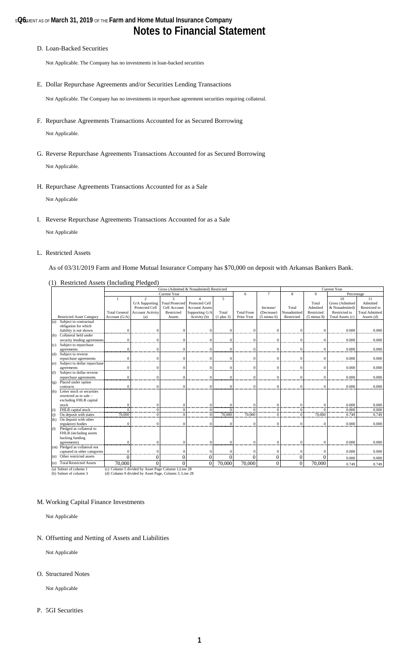#### D. Loan-Backed Securities

Not Applicable. The Company has no investments in loan-backed securities

E. Dollar Repurchase Agreements and/or Securities Lending Transactions

Not Applicable. The Company has no investments in repurchase agreement securities requiring collateral.

- F. Repurchase Agreements Transactions Accounted for as Secured Borrowing Not Applicable.
- G. Reverse Repurchase Agreements Transactions Accounted for as Secured Borrowing

Not Applicable.

H. Repurchase Agreements Transactions Accounted for as a Sale

Not Applicable

I. Reverse Repurchase Agreements Transactions Accounted for as a Sale

Not Applicable

L. Restricted Assets

As of 03/31/2019 Farm and Home Mutual Insurance Company has \$70,000 on deposit with Arkansas Bankers Bank.

|                   |                                  | <b>Current Year</b><br>Gross (Admitted & Nonadmited) Restricted |                                                       |                         |                       |                |                   |                        |             |                            |                  |                       |
|-------------------|----------------------------------|-----------------------------------------------------------------|-------------------------------------------------------|-------------------------|-----------------------|----------------|-------------------|------------------------|-------------|----------------------------|------------------|-----------------------|
|                   |                                  |                                                                 |                                                       | Current Year            |                       |                | 6                 | $\overline{7}$         | 8           | $\mathbf{Q}$<br>Percentage |                  |                       |
|                   |                                  |                                                                 | $\overline{2}$                                        | $\overline{\mathbf{3}}$ | 4                     | 5              |                   |                        |             |                            | 10               | $\overline{11}$       |
|                   |                                  |                                                                 | G/A Supporting                                        | <b>Total Protected</b>  | Protected Cell        |                |                   |                        |             | Total                      | Gross (Admitted  | Admitted              |
|                   |                                  |                                                                 | Protected Cell                                        | Cell Account            | <b>Account Assets</b> |                |                   | Increase/              | Total       | Admitted                   | & Nonadmitted)   | Restricted to         |
|                   |                                  | <b>Total General</b>                                            | <b>Account Activity</b>                               | Restricted              | Supporting G/A        | Total          | <b>Total From</b> | (Decrease)             | Nonadmitted | Restricted                 | Restricted to    | <b>Total Admitted</b> |
|                   | <b>Restricted Asset Category</b> | Account (G/A)                                                   | (a)                                                   | Assets                  | Activity (b)          | $(1$ plus $3)$ | Prior Year        | $(5 \text{ minus } 6)$ | Restricted  | $(5 \text{ minus } 8)$     | Total Assets (c) | Assets (d)            |
| (a)               | Subject to contractual           |                                                                 |                                                       |                         |                       |                |                   |                        |             |                            |                  |                       |
|                   | obligation for which             |                                                                 |                                                       |                         |                       |                |                   |                        |             |                            |                  |                       |
|                   | liability is not shown           | $\Omega$                                                        |                                                       | $\epsilon$              |                       | $\Omega$       | $\Omega$          | $\sqrt{ }$             |             |                            | 0.000            | 0.000                 |
| (b)               | Collateral held under            |                                                                 |                                                       |                         |                       |                |                   |                        |             |                            |                  |                       |
|                   | security lending agreements      | $\Omega$                                                        |                                                       | $\sqrt{ }$              | $\Omega$              | $\Omega$       | $\Omega$          | $\Omega$               | $\Omega$    | $\Omega$                   | 0.000            | 0.000                 |
| (c)               | Subject to repurchase            |                                                                 |                                                       |                         |                       |                |                   |                        |             |                            |                  |                       |
|                   | agreements                       | $\Omega$                                                        | C                                                     | $\sqrt{ }$              | $\Omega$              | $\Omega$       | $\Omega$          | $\epsilon$             | $\Omega$    | $\Omega$                   | 0.000            | 0.000                 |
| (d)               | Subject to reverse               |                                                                 |                                                       |                         |                       |                |                   |                        |             |                            |                  |                       |
|                   | repurchase agreements            | $\theta$                                                        | $\Omega$                                              | $\Omega$                | $\Omega$              | $\mathbf{0}$   | $\mathbf{0}$      | $\Omega$               | $\theta$    | $\Omega$                   | 0.000            | 0.000                 |
| (e)               | Subject to dollar repurchase     |                                                                 |                                                       |                         |                       |                |                   |                        |             |                            |                  |                       |
|                   | agreements                       | $\theta$                                                        |                                                       | $\epsilon$              | C                     | $\mathbf{0}$   | $\Omega$          | $\Omega$               | 0           | $\Omega$                   | 0.000            | 0.000                 |
| (f)               | Subject to dollar reverse        |                                                                 |                                                       |                         |                       |                |                   |                        |             |                            |                  |                       |
|                   | repurchase agreements            | $\Omega$                                                        | $\sqrt{ }$                                            | $\epsilon$              | $\sqrt{ }$            | $\Omega$       | $\Omega$          | $\Omega$               | $\Omega$    | $\Omega$                   | 0.000            | 0.000                 |
| (g)               | Placed under option              |                                                                 |                                                       |                         |                       |                |                   |                        |             |                            |                  |                       |
|                   | contracts                        | $\Omega$                                                        | C                                                     | $\sqrt{ }$              | $\sqrt{ }$            | $\Omega$       | $\Omega$          | $\Omega$               | $\Omega$    | $\Omega$                   | 0.000            | 0.000                 |
| (h)               | Letter stock or securities       |                                                                 |                                                       |                         |                       |                |                   |                        |             |                            |                  |                       |
|                   | restricted as to sale -          |                                                                 |                                                       |                         |                       |                |                   |                        |             |                            |                  |                       |
|                   | excluding FHLB capital           |                                                                 |                                                       |                         |                       |                |                   |                        |             |                            |                  |                       |
|                   | stock                            | $\Omega$                                                        | $\Omega$                                              | $\sqrt{ }$              | $\Omega$              | $\Omega$       | $\Omega$          | $\Omega$               | $\Omega$    | $\sqrt{ }$                 | 0.000            | 0.000                 |
| (i)               | FHLB capital stock               | $\Omega$                                                        | $\Omega$                                              | $\sqrt{ }$              | $\Omega$              | $\Omega$       |                   | $\Omega$               | $\theta$    |                            | 0.000            | 0.000                 |
| (i)               | On deposit with states           | 70,000                                                          | $\Omega$                                              | $\sqrt{ }$              | $\Omega$              | 70,000         | 70,000            | $\Omega$               | $\Omega$    | 70,000                     | 0.749            | 0.749                 |
| (k)               | On deposit with other            |                                                                 |                                                       |                         |                       |                |                   |                        |             |                            |                  |                       |
|                   | regulatory bodies                | $\Omega$                                                        | $\Omega$                                              | $\sqrt{ }$              | $\sqrt{ }$            | $\Omega$       | $\Omega$          | $\Omega$               | $\Omega$    | $\Omega$                   | 0.000            | 0.000                 |
| $\textcircled{1}$ | Pledged as collateral to         |                                                                 |                                                       |                         |                       |                |                   |                        |             |                            |                  |                       |
|                   | FHLB (including assets           |                                                                 |                                                       |                         |                       |                |                   |                        |             |                            |                  |                       |
|                   | backing funding                  |                                                                 |                                                       |                         |                       |                |                   |                        |             |                            |                  |                       |
|                   | agreements)                      | $\Omega$                                                        | C                                                     | $\sqrt{ }$              | $\Omega$              | $\Omega$       | 0                 | $\Omega$               | $\Omega$    | $\Omega$                   | 0.000            | 0.000                 |
|                   | (m) Pledged as collateral not    |                                                                 |                                                       |                         |                       |                |                   |                        |             |                            |                  |                       |
|                   | captured in other categories     | $\Omega$                                                        |                                                       |                         |                       | $\Omega$       | $\Omega$          | $\epsilon$             | 0           | C                          | 0.000            | 0.000                 |
| (n)               | Other restricted assets          | $\Omega$                                                        |                                                       | $\theta$                | C                     | $\overline{0}$ | $\theta$          | 0                      | $\theta$    | $\Omega$                   | 0.000            | 0.000                 |
| $\circ$           | <b>Total Restricted Assets</b>   | 70,000                                                          |                                                       | $\Omega$                | $\Omega$              | 70,000         | 70,000            | $\theta$               | $\Omega$    | 70,000                     | 0.749            | 0.749                 |
|                   | (a) Subset of column 1           |                                                                 | (c) Column 5 divided by Asset Page Column 1, Line 28  |                         |                       |                |                   |                        |             |                            |                  |                       |
|                   | (b) Subset of column 3           |                                                                 | (d) Column 9 divided by Asset Page, Column 3, Line 28 |                         |                       |                |                   |                        |             |                            |                  |                       |

(1) Restricted Assets (Including Pledged)

M. Working Capital Finance Investments

Not Applicable

N. Offsetting and Netting of Assets and Liabilities

Not Applicable

#### O. Structured Notes

Not Applicable

P. 5GI Securities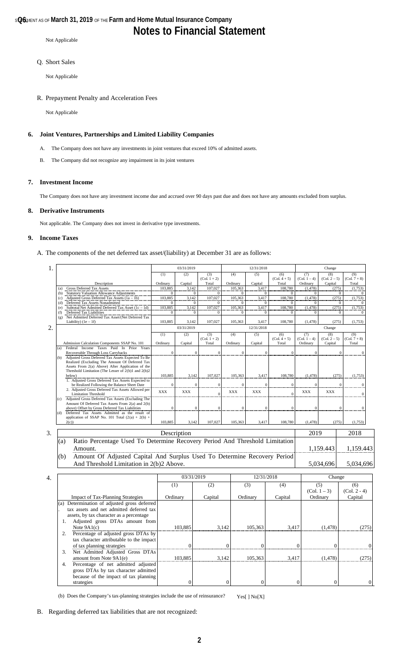# **Notes to Financial Statement**

Not Applicable

### Q. Short Sales

Not Applicable

#### R. Prepayment Penalty and Acceleration Fees

Not Applicable

### **6. Joint Ventures, Partnerships and Limited Liability Companies**

- A. The Company does not have any investments in joint ventures that exceed 10% of admitted assets.
- B. The Company did not recognize any impairment in its joint ventures

#### **7. Investment Income**

The Company does not have any investment income due and accrued over 90 days past due and does not have any amounts excluded from surplus.

#### **8. Derivative Instruments**

Not applicable. The Company does not invest in derivative type investments.

#### **9. Income Taxes**

A. The components of the net deferred tax asset/(liability) at December 31 are as follows:

| 1. |            |                                                                                                     |                  | 03/31/2019   |                         |              | 12/31/2018       |                         |                            | Change                    |                                  |
|----|------------|-----------------------------------------------------------------------------------------------------|------------------|--------------|-------------------------|--------------|------------------|-------------------------|----------------------------|---------------------------|----------------------------------|
|    |            |                                                                                                     | (1)              | (2)          | (3)                     | (4)          | (5)              | (6)                     | (7)                        | (8)                       | (9)                              |
|    |            | Description                                                                                         | Ordinary         | Capital      | $(Col. 1 + 2)$<br>Total | Ordinary     | Capital          | $(Col. 4 + 5)$<br>Total | $(Col. 1 - 4)$<br>Ordinary | $(Col. 2 - 5)$<br>Capital | $(Col. 7 + 8)$<br>Total          |
|    | (a)        | <b>Gross Deferred Tax Assets</b>                                                                    | 103,885          | 3,142        | 107,027                 | 105,363      | 3,417            | 108,780                 | (1, 478)                   | (275)                     | (1,753)                          |
|    | (b)        | Statutory Valuation Allowance Adjustments                                                           | $\Omega$         | $\Omega$     | $\Omega$                | $\Omega$     | $\mathbf{0}$     | $\mathbf{0}$            | $\Omega$                   |                           | $\mathbf{0}$<br>$\Omega$         |
|    | (c)        | Adjusted Gross Deferred Tax Assets $(1a - 1b)$                                                      | 103,885          | 3,142        | 107,027                 | 105,363      | 3,417            | 108,780                 | (1, 478)                   | (275)                     | (1,753)                          |
|    | (d)        | Deferred Tax Assets Nonadmitted                                                                     | $\boldsymbol{0}$ | $\mathbf{0}$ | $\boldsymbol{0}$        | $\mathbf{0}$ | $\bf{0}$         | $\mathbf{0}$            | $\overline{0}$             |                           | $\boldsymbol{0}$<br>$\mathbf{0}$ |
|    | (e)        | Subtotal Net Admitted Deferred Tax Asset $(1c - 1d)$                                                | 103,885          | 3,142        | 107,027                 | 105,363      | 3,417            | 108,780                 | (1, 478)                   | (275)                     | (1,753)                          |
|    | (f)<br>(g) | Deferred Tax Liabilities<br>Net Admitted Deferred Tax Asset/(Net Deferred Tax                       | $\boldsymbol{0}$ | $\mathbf{0}$ | $\mathbf{0}$            | $\mathbf{0}$ | $\mathbf{0}$     | $\mathbf{0}$            | $\mathbf{0}$               |                           | $\mathbf{0}$<br>$\mathbf{0}$     |
|    |            | Liability) $(1e - 1f)$                                                                              | 103,885          | 3,142        | 107,027                 | 105,363      | 3,417            | 108,780                 | (1, 478)                   | (275)                     | (1,753)                          |
| 2. |            |                                                                                                     |                  | 03/31/2019   |                         |              | 12/31/2018       |                         |                            | Change                    |                                  |
|    |            |                                                                                                     | (1)              | (2)          | (3)                     | (4)          | (5)              | (6)                     | (7)                        | (8)                       | (9)                              |
|    |            |                                                                                                     |                  |              | $(Col. 1 + 2)$          |              |                  | $(Col. 4 + 5)$          | $(Col. 1 - 4)$             | $(Col. 2 - 5)$            | $(Col. 7 + 8)$                   |
|    |            | Admission Calculation Components SSAP No. 101                                                       | Ordinary         | Capital      | Total                   | Ordinary     | Capital          | Total                   | Ordinary                   | Capital                   | Total                            |
|    | (a)        | Federal Income Taxes Paid In Prior Years                                                            |                  |              |                         |              |                  |                         |                            |                           |                                  |
|    |            | Recoverable Through Loss Carrybacks                                                                 | $\theta$         | $\mathbf{0}$ | $\mathbf{0}$            | $\mathbf{0}$ | $\mathbf{0}$     | $\Omega$                | $\theta$                   |                           | $\Omega$<br>$\mathbf{0}$         |
|    | (b)        | Adjusted Gross Deferred Tax Assets Expected To Be<br>Realized (Excluding The Amount Of Deferred Tax |                  |              |                         |              |                  |                         |                            |                           |                                  |
|    |            | Assets From 2(a) Above) After Application of the                                                    |                  |              |                         |              |                  |                         |                            |                           |                                  |
|    |            | Threshold Limitation (The Lesser of $2(b)1$ and $2(b)2$                                             |                  |              |                         |              |                  |                         |                            |                           |                                  |
|    |            | below)                                                                                              | 103,885          | 3,142        | 107,027                 | 105,363      | 3,417            | 108,780                 | (1, 478)                   | (275)                     | (1,753)                          |
|    |            | 1. Adjusted Gross Deferred Tax Assets Expected to                                                   |                  |              |                         |              |                  |                         |                            |                           |                                  |
|    |            | be Realized Following the Balance Sheet Date                                                        |                  | $\Omega$     | $\boldsymbol{0}$        | $\mathbf{0}$ | $\Omega$         | $\mathbf{0}$            | $\Omega$                   |                           | $\mathbf{0}$                     |
|    |            | 2. Adjusted Gross Deferred Tax Assets Allowed per<br><b>Limitation Threshold</b>                    | <b>XXX</b>       | <b>XXX</b>   | $\Omega$                | <b>XXX</b>   | <b>XXX</b>       | $\Omega$                | XXX                        | <b>XXX</b>                | $\mathbf{0}$                     |
|    | (c)        | Adjusted Gross Deferred Tax Assets (Excluding The                                                   |                  |              |                         |              |                  |                         |                            |                           |                                  |
|    |            | Amount Of Deferred Tax Assets From 2(a) and 2(b)                                                    |                  |              |                         |              |                  |                         |                            |                           |                                  |
|    |            | above) Offset by Gross Deferred Tax Liabilities                                                     | $\epsilon$       | $\theta$     | $\theta$                |              | $\Omega$         | $\Omega$                | $\Omega$                   |                           | $\Omega$                         |
|    | (d)        | Deferred Tax Assets Admitted as the result of                                                       |                  |              |                         |              |                  |                         |                            |                           |                                  |
|    |            | application of SSAP No. 101 Total $(2(a) + 2(b) +$<br>2(c)                                          | 103,885          | 3,142        | 107,027                 | 105,363      | 3,417            | 108,780                 | (1, 478)                   | (275)                     | (1,753)                          |
|    |            |                                                                                                     |                  |              |                         |              |                  |                         |                            |                           |                                  |
| 3. |            |                                                                                                     |                  | Description  |                         |              |                  |                         | 2019                       |                           | 2018                             |
|    | (a)        | Ratio Percentage Used To Determine Recovery Period And Threshold Limitation                         |                  |              |                         |              |                  |                         |                            |                           |                                  |
|    |            |                                                                                                     |                  |              |                         |              |                  |                         |                            |                           |                                  |
|    |            | Amount.                                                                                             |                  |              |                         |              |                  |                         |                            | 1,159.443                 | 1,159.443                        |
|    | (b)        | Amount Of Adjusted Capital And Surplus Used To Determine Recovery Period                            |                  |              |                         |              |                  |                         |                            |                           |                                  |
|    |            | And Threshold Limitation in 2(b)2 Above.                                                            |                  |              |                         |              |                  |                         |                            | 5,034,696                 | 5,034,696                        |
|    |            |                                                                                                     |                  |              |                         |              |                  |                         |                            |                           |                                  |
|    |            |                                                                                                     |                  |              |                         |              |                  |                         |                            |                           |                                  |
| 4. |            |                                                                                                     |                  | 03/31/2019   |                         |              | 12/31/2018       |                         |                            | Change                    |                                  |
|    |            |                                                                                                     | (1)              |              | (2)                     |              | $\overline{(3)}$ | (4)                     |                            | (5)                       | (6)                              |
|    |            |                                                                                                     |                  |              |                         |              |                  |                         |                            | $(Col. 1 - 3)$            | $(Col. 2 - 4)$                   |
|    |            | <b>Impact of Tax-Planning Strategies</b>                                                            | Ordinary         |              | Capital                 |              | Ordinary         | Capital                 |                            | Ordinary                  | Capital                          |
|    |            | (a) Determination of adjusted gross deferred                                                        |                  |              |                         |              |                  |                         |                            |                           |                                  |
|    |            | tax assets and net admitted deferred tax                                                            |                  |              |                         |              |                  |                         |                            |                           |                                  |
|    |            |                                                                                                     |                  |              |                         |              |                  |                         |                            |                           |                                  |
|    |            | assets, by tax character as a percentage                                                            |                  |              |                         |              |                  |                         |                            |                           |                                  |
|    | 1.         | Adjusted gross DTAs amount from                                                                     |                  |              |                         |              |                  |                         |                            |                           |                                  |
|    |            | Note $9A1(c)$                                                                                       |                  | 103,885      |                         | 3,142        | 105,363          | 3,417                   |                            | (1, 478)                  | (275)                            |
|    | 2.         | Percentage of adjusted gross DTAs by                                                                |                  |              |                         |              |                  |                         |                            |                           |                                  |
|    |            | tax character attributable to the impact                                                            |                  |              |                         |              |                  |                         |                            |                           |                                  |
|    |            | of tax planning strategies                                                                          |                  | $\theta$     |                         | $\Omega$     | $\theta$         |                         | $\theta$                   | $\overline{0}$            | $\overline{0}$                   |
|    | 3.         | Net Admitted Adjusted Gross DTAs                                                                    |                  |              |                         |              |                  |                         |                            |                           |                                  |
|    |            | amount from Note $9A1(e)$                                                                           |                  | 103,885      |                         | 3,142        | 105,363          | 3,417                   |                            | (1, 478)                  | (275)                            |
|    |            |                                                                                                     |                  |              |                         |              |                  |                         |                            |                           |                                  |

- (b) Does the Company's tax-planning strategies include the use of reinsurance? Yes[ ] No[X]
- B. Regarding deferred tax liabilities that are not recognized:

4. Percentage of net admitted adjusted gross DTAs by tax character admitted because of the impact of tax planning

strategies 0 0 0 0 0 0 0 0 0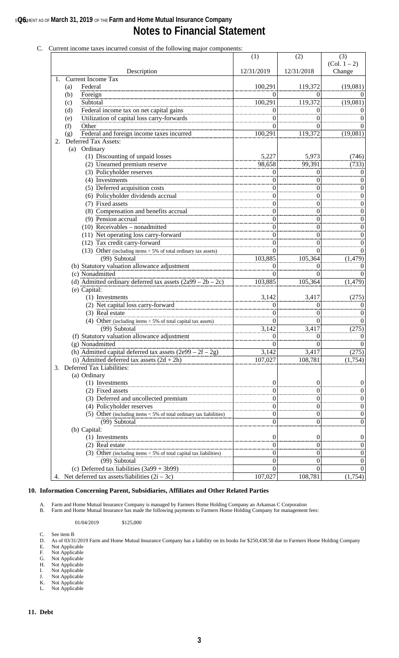## **s@6** March 31, 2019 of the Farm and Home Mutual Insurance Company **Notes to Financial Statement**

|    | Current income taxes incurred consist of the following major components:          | (1)        | (2)                  | (3)                              |
|----|-----------------------------------------------------------------------------------|------------|----------------------|----------------------------------|
|    |                                                                                   |            |                      | $(Col. 1 - 2)$                   |
|    | Description                                                                       | 12/31/2019 | 12/31/2018           | Change                           |
| 1. | <b>Current Income Tax</b>                                                         |            |                      |                                  |
|    | (a)<br>Federal                                                                    | 100,291    | 119,372              | (19,081)                         |
|    | (b)<br>Foreign                                                                    | 0          | 0                    | $\theta$                         |
|    | Subtotal<br>(c)                                                                   | 100,291    | 119,372              | (19,081)                         |
|    | Federal income tax on net capital gains<br>(d)                                    | 0          | 0                    | $\theta$                         |
|    | Utilization of capital loss carry-forwards<br>(e)                                 | $\theta$   | $\theta$             | $\boldsymbol{0}$                 |
|    | (f)<br>Other                                                                      | 0          | 0                    | $\boldsymbol{0}$                 |
|    | Federal and foreign income taxes incurred<br>(g)                                  | 100,291    | 119,372              | (19,081)                         |
| 2. | Deferred Tax Assets:                                                              |            |                      |                                  |
|    | (a) Ordinary                                                                      |            |                      |                                  |
|    | (1) Discounting of unpaid losses                                                  | 5,227      | 5,973<br>99,391      | (746)                            |
|    | (2) Unearned premium reserve                                                      | 98,658     |                      | (733)                            |
|    | (3) Policyholder reserves                                                         | 0          | $\theta$             | $\boldsymbol{0}$                 |
|    | (4) Investments                                                                   | 0          | $\theta$             | $\boldsymbol{0}$                 |
|    | (5) Deferred acquisition costs                                                    | 0          | $\theta$             | $\boldsymbol{0}$                 |
|    | (6) Policyholder dividends accrual                                                | 0          | $\boldsymbol{0}$     | $\boldsymbol{0}$                 |
|    | (7) Fixed assets                                                                  | 0          | $\boldsymbol{0}$     | $\boldsymbol{0}$                 |
|    | (8) Compensation and benefits accrual<br>(9) Pension accrual                      | 0          | $\theta$             | $\boldsymbol{0}$                 |
|    | $(10)$ Receivables – nonadmitted                                                  | 0          | $\boldsymbol{0}$     | $\boldsymbol{0}$                 |
|    |                                                                                   | 0          | $\boldsymbol{0}$     | $\boldsymbol{0}$                 |
|    | (11) Net operating loss carry-forward                                             | 0          | $\theta$             | $\boldsymbol{0}$                 |
|    | (12) Tax credit carry-forward                                                     | 0          | $\theta$             | $\boldsymbol{0}$                 |
|    | (13) Other (including items $<$ 5% of total ordinary tax assets)<br>(99) Subtotal | 0          | $\Omega$             | $\boldsymbol{0}$                 |
|    |                                                                                   | 103,885    | 105,364              | (1, 479)                         |
|    | (b) Statutory valuation allowance adjustment<br>(c) Nonadmitted                   | 0<br>0     | $\theta$<br>$\Omega$ | $\boldsymbol{0}$<br>$\mathbf{0}$ |
|    | (d) Admitted ordinary deferred tax assets $(2a99 – 2b – 2c)$                      | 103,885    | 105,364              | (1, 479)                         |
|    | (e) Capital:                                                                      |            |                      |                                  |
|    | (1) Investments                                                                   | 3,142      | 3,417                | (275)                            |
|    | (2) Net capital loss carry-forward                                                | 0          | $\Omega$             | $\boldsymbol{0}$                 |
|    | (3) Real estate                                                                   | 0          | $\Omega$             | $\boldsymbol{0}$                 |
|    | (4) Other (including items $<$ 5% of total capital tax assets)                    | 0          | $\Omega$             | $\boldsymbol{0}$                 |
|    | (99) Subtotal                                                                     | 3,142      | 3,417                | (275)                            |
|    | (f) Statutory valuation allowance adjustment                                      | 0          | $\mathbf{0}$         | $\boldsymbol{0}$                 |
|    | (g) Nonadmitted                                                                   | $\bf{0}$   | 0                    | $\theta$                         |
|    | (h) Admitted capital deferred tax assets $(2e99 – 2f – 2g)$                       | 3,142      | 3,417                | (275)                            |
|    | (i) Admitted deferred tax assets $(2d + 2h)$                                      | 107,027    | 108,781              | (1,754)                          |
|    | 3. Deferred Tax Liabilities:                                                      |            |                      |                                  |
|    | (a) Ordinary                                                                      |            |                      |                                  |
|    | (1) Investments                                                                   | 0          | 0                    | 0                                |
|    | (2) Fixed assets                                                                  | 0          | 0                    | 0                                |
|    | (3) Deferred and uncollected premium                                              | 0          | 0                    | 0                                |
|    | (4) Policyholder reserves                                                         | 0          | 0                    | 0                                |
|    | (5) Other (including items $<$ 5% of total ordinary tax liabilities)              | 0          | $\bf{0}$             | 0                                |
|    | (99) Subtotal                                                                     | $\theta$   | $\theta$             | 0                                |
|    | (b) Capital:                                                                      |            |                      |                                  |
|    | (1) Investments                                                                   | 0          | $\boldsymbol{0}$     | 0                                |
|    | (2) Real estate                                                                   | 0          | 0                    | 0                                |
|    | (3) Other (including items $<$ 5% of total capital tax liabilities)               | 0          | 0                    | 0                                |
|    | (99) Subtotal                                                                     | 0          | 0                    | 0                                |
|    | (c) Deferred tax liabilities $(3a99 + 3b99)$                                      | 0          | $\theta$             | $\Omega$                         |
|    | 4. Net deferred tax assets/liabilities $(2i – 3c)$                                | 107,027    | 108,781              | (1,754)                          |
|    |                                                                                   |            |                      |                                  |

# C. Current income taxes incurred consist of the following major

### **10. Information Concerning Parent, Subsidiaries, Affiliates and Other Related Parties**

A. Farm and Home Mutual Insurance Company is managed by Farmers Home Holding Company an Arkansas C Corporation

B. Farm and Home Mutual Insurance has made the following payments to Farmers Home Holding Company for management fees:

01/04/2019 \$125,000

C. See item B

- D. As of 03/31/2019 Farm and Home Mutual Insurance Company has a liability on its books for \$250,438.58 due to Farmers Home Holding Company E. Not Applicable
- E. Not Applicable<br>
F. Not Applicable<br>
H. Not Applicable<br>
I. Not Applicable
- G. Not Applicable
- H. Not Applicable
- I. Not Applicable
- J. Not Applicable K. Not Applicable
- L. Not Applicable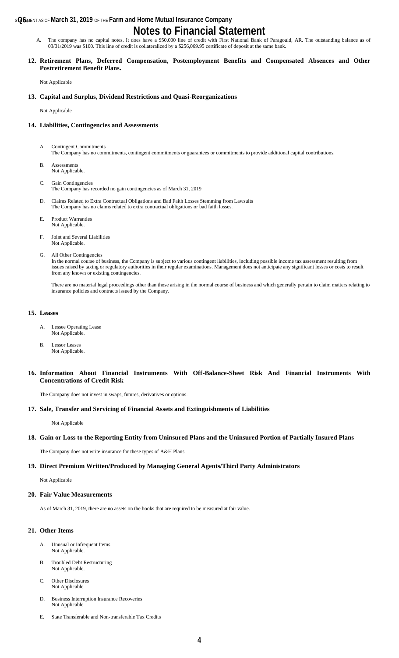### **s@6** March 31, 2019 of the Farm and Home Mutual Insurance Company

# **Notes to Financial Statement**

A. The company has no capital notes. It does have a \$50,000 line of credit with First National Bank of Paragould, AR. The outstanding balance as of 03/31/2019 was \$100. This line of credit is collateralized by a \$256,069.95 certificate of deposit at the same bank.

#### **12. Retirement Plans, Deferred Compensation, Postemployment Benefits and Compensated Absences and Other Postretirement Benefit Plans.**

Not Applicable

#### **13. Capital and Surplus, Dividend Restrictions and Quasi-Reorganizations**

Not Applicable

#### **14. Liabilities, Contingencies and Assessments**

- A. Contingent Commitments The Company has no commitments, contingent commitments or guarantees or commitments to provide additional capital contributions.
- B. Assessments Not Applicable.
- C. Gain Contingencies The Company has recorded no gain contingencies as of March 31, 2019
- D. Claims Related to Extra Contractual Obligations and Bad Faith Losses Stemming from Lawsuits The Company has no claims related to extra contractual obligations or bad faith losses.
- E. Product Warranties Not Applicable.
- F. Joint and Several Liabilities Not Applicable.
- G. All Other Contingencies

In the normal course of business, the Company is subject to various contingent liabilities, including possible income tax assessment resulting from issues raised by taxing or regulatory authorities in their regular examinations. Management does not anticipate any significant losses or costs to result from any known or existing contingencies.

There are no material legal proceedings other than those arising in the normal course of business and which generally pertain to claim matters relating to insurance policies and contracts issued by the Company.

#### **15. Leases**

- A. Lessee Operating Lease Not Applicable.
- B. Lessor Leases Not Applicable.

#### **16. Information About Financial Instruments With Off-Balance-Sheet Risk And Financial Instruments With Concentrations of Credit Risk**

The Company does not invest in swaps, futures, derivatives or options.

#### **17. Sale, Transfer and Servicing of Financial Assets and Extinguishments of Liabilities**

Not Applicable

#### **18. Gain or Loss to the Reporting Entity from Uninsured Plans and the Uninsured Portion of Partially Insured Plans**

The Company does not write insurance for these types of A&H Plans.

### **19. Direct Premium Written/Produced by Managing General Agents/Third Party Administrators**

Not Applicable

#### **20. Fair Value Measurements**

As of March 31, 2019, there are no assets on the books that are required to be measured at fair value.

#### **21. Other Items**

- A. Unusual or Infrequent Items Not Applicable.
- B. Troubled Debt Restructuring Not Applicable.
- C. Other Disclosures Not Applicable
- D. Business Interruption Insurance Recoveries Not Applicable
- E. State Transferable and Non-transferable Tax Credits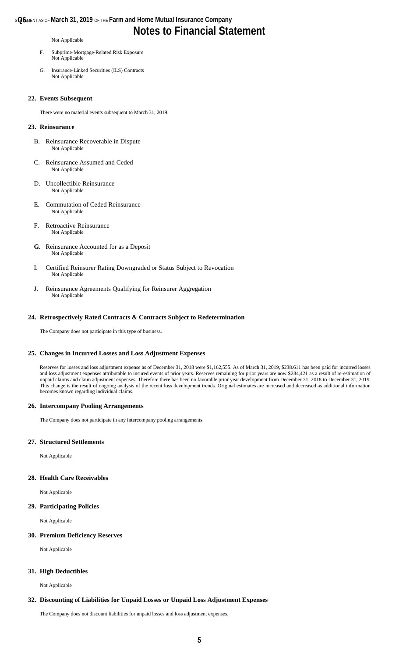### **s@6** March 31, 2019 of the Farm and Home Mutual Insurance Company **Notes to Financial Statement**

#### Not Applicable

- F. Subprime-Mortgage-Related Risk Exposure Not Applicable
- G. Insurance-Linked Securities (ILS) Contracts Not Applicable

#### **22. Events Subsequent**

There were no material events subsequent to March 31, 2019.

#### **23. Reinsurance**

- B. Reinsurance Recoverable in Dispute Not Applicable
- C. Reinsurance Assumed and Ceded Not Applicable
- D. Uncollectible Reinsurance Not Applicable
- E. Commutation of Ceded Reinsurance Not Applicable
- F. Retroactive Reinsurance Not Applicable
- **G.** Reinsurance Accounted for as a Deposit Not Applicable
- I. Certified Reinsurer Rating Downgraded or Status Subject to Revocation Not Applicable
- J. Reinsurance Agreements Qualifying for Reinsurer Aggregation Not Applicable

#### **24. Retrospectively Rated Contracts & Contracts Subject to Redetermination**

The Company does not participate in this type of business.

#### **25. Changes in Incurred Losses and Loss Adjustment Expenses**

Reserves for losses and loss adjustment expense as of December 31, 2018 were \$1,162,555. As of March 31, 2019, \$238.611 has been paid for incurred losses and loss adjustment expenses attributable to insured events of prior years. Reserves remaining for prior years are now \$284,421 as a result of re-estimation of unpaid claims and claim adjustment expenses. Therefore there has been no favorable prior year development from December 31, 2018 to December 31, 2019. This change is the result of ongoing analysis of the recent loss development trends. Original estimates are increased and decreased as additional information becomes known regarding individual claims.

#### **26. Intercompany Pooling Arrangements**

The Company does not participate in any intercompany pooling arrangements.

#### **27. Structured Settlements**

Not Applicable

#### **28. Health Care Receivables**

Not Applicable

#### **29. Participating Policies**

Not Applicable

#### **30. Premium Deficiency Reserves**

Not Applicable

#### **31. High Deductibles**

Not Applicable

#### **32. Discounting of Liabilities for Unpaid Losses or Unpaid Loss Adjustment Expenses**

The Company does not discount liabilities for unpaid losses and loss adjustment expenses.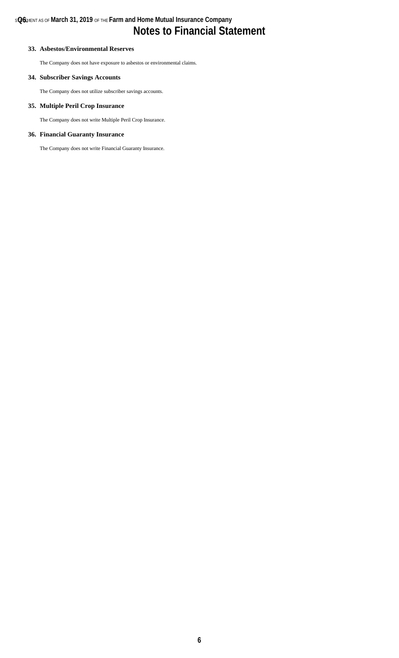### **33. Asbestos/Environmental Reserves**

The Company does not have exposure to asbestos or environmental claims.

### **34. Subscriber Savings Accounts**

The Company does not utilize subscriber savings accounts.

#### **35. Multiple Peril Crop Insurance**

The Company does not write Multiple Peril Crop Insurance.

### **36. Financial Guaranty Insurance**

The Company does not write Financial Guaranty Insurance.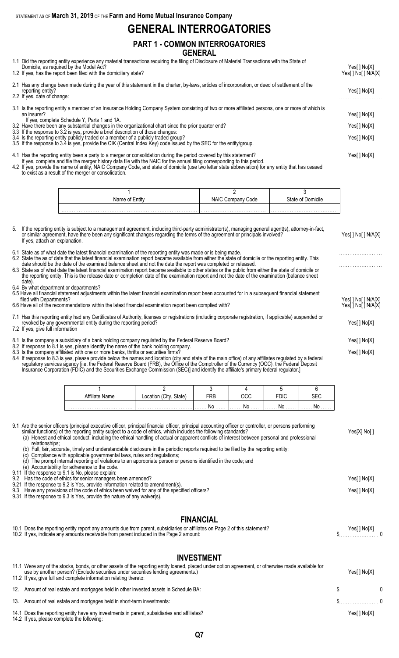STATEMENT AS OF **March 31, 2019** OF THE **Farm and Home Mutual Insurance Company**

# **GENERAL INTERROGATORIES**

### **PART 1 - COMMON INTERROGATORIES GENERAL**

1.1 Did the reporting entity experience any material transactions requiring the filing of Disclosure of Material Transactions with the State of

| Domicile, as required by the Model Act?<br>1.2 If yes, has the report been filed with the domiciliary state?                                                                                                                                                                                                             | Yes[] No[X]<br>Yes[ ] No[ ] N/A[X] |
|--------------------------------------------------------------------------------------------------------------------------------------------------------------------------------------------------------------------------------------------------------------------------------------------------------------------------|------------------------------------|
| 2.1 Has any change been made during the year of this statement in the charter, by-laws, articles of incorporation, or deed of settlement of the<br>reporting entity?<br>2.2 If yes, date of change:                                                                                                                      |                                    |
| 3.1 Is the reporting entity a member of an Insurance Holding Company System consisting of two or more affiliated persons, one or more of which is<br>an insurer?<br>If yes, complete Schedule Y, Parts 1 and 1A.<br>3.2 Have there been any substantial changes in the organizational chart since the prior quarter end? | Yes[ ] No[X]<br>Yes[ ] No[X]       |
| 3.3 If the response to 3.2 is yes, provide a brief description of those changes:<br>3.4 Is the reporting entity publicly traded or a member of a publicly traded group?<br>3.5 If the response to 3.4 is yes, provide the CIK (Central Index Key) code issued by the SEC for the entity/group.                           | Yes[ ] No[X]                       |
|                                                                                                                                                                                                                                                                                                                          |                                    |

4.1 Has the reporting entity been a party to a merger or consolidation during the period covered by this statement? Yes[ ] No[X]

If yes, complete and file the merger history data file with the NAIC for the annual filing corresponding to this period. 4.2 If yes, provide the name of entity, NAIC Company Code, and state of domicile (use two letter state abbreviation) for any entity that has ceased to exist as a result of the merger or consolidation.

| Name of | Code<br>טרעו | ∴tot∆ |
|---------|--------------|-------|
|         |              |       |

| 5. If the reporting entity is subject to a management agreement, including third-party administrator(s), managing general agent(s), attorney-in-fact,<br>or similar agreement, have there been any significant changes regarding the terms of the agreement or principals involved?<br>If yes, attach an explanation.                                                                                                                                                                                                                                                                                                                                                                                        | Yes[] No[] N/A[X]                        |
|--------------------------------------------------------------------------------------------------------------------------------------------------------------------------------------------------------------------------------------------------------------------------------------------------------------------------------------------------------------------------------------------------------------------------------------------------------------------------------------------------------------------------------------------------------------------------------------------------------------------------------------------------------------------------------------------------------------|------------------------------------------|
| 6.1 State as of what date the latest financial examination of the reporting entity was made or is being made.<br>6.2 State the as of date that the latest financial examination report became available from either the state of domicile or the reporting entity. This<br>date should be the date of the examined balance sheet and not the date the report was completed or released.<br>6.3 State as of what date the latest financial examination report became available to other states or the public from either the state of domicile or<br>the reporting entity. This is the release date or completion date of the examination report and not the date of the examination (balance sheet<br>date). |                                          |
| 6.4 By what department or departments?<br>6.5 Have all financial statement adjustments within the latest financial examination report been accounted for in a subsequent financial statement<br>filed with Departments?<br>6.6 Have all of the recommendations within the latest financial examination report been complied with?                                                                                                                                                                                                                                                                                                                                                                            | Yes[] No[] N/A[X]<br>Yes[ ] No[ ] N/A[X] |
| 7.1 Has this reporting entity had any Certificates of Authority, licenses or registrations (including corporate registration, if applicable) suspended or<br>revoked by any governmental entity during the reporting period?<br>7.2 If yes, give full information                                                                                                                                                                                                                                                                                                                                                                                                                                            | Yes[ ] No[X]                             |
| 8.1 Is the company a subsidiary of a bank holding company regulated by the Federal Reserve Board?                                                                                                                                                                                                                                                                                                                                                                                                                                                                                                                                                                                                            | Yes[] No[X]                              |
| 8.2 If response to 8.1 is yes, please identify the name of the bank holding company.<br>8.3 Is the company affiliated with one or more banks, thrifts or securities firms?<br>8.4 If response to 8.3 is yes, please provide below the names and location (city and state of the main office) of any affiliates regulated by a federal<br>requilatory services agency li.e. the Eederal Reserve Board (ERR), the Office of the Comptroller of the Currency (OCC), the Eederal Deposit                                                                                                                                                                                                                         | Yes[] No[X]                              |

regulatory services agency [i.e. the Federal Reserve Board (FRB), the Office of the Comptroller of the Currency (OCC), the Federal Deposit Insurance Corporation (FDIC) and the Securities Exchange Commission (SEC)] and identify the affiliate's primary federal regulator.]

| filiate Name | State)<br>'Citv.<br>Location |        |                                               | ŕ           |
|--------------|------------------------------|--------|-----------------------------------------------|-------------|
|              |                              | . No 1 | $\left[\ldots\ldots\right]$ NO $\ldots\ldots$ | I <b>No</b> |

9.1 Are the senior officers (principal executive officer, principal financial officer, principal accounting officer or controller, or persons performing similar functions) of the reporting entity subject to a code of ethics, which includes the following standards? Yes[X] No[ ] (a) Honest and ethical conduct, including the ethical handling of actual or apparent conflicts of interest between personal and professional

- relationships;
	- (b) Full, fair, accurate, timely and understandable disclosure in the periodic reports required to be filed by the reporting entity;

(c) Compliance with applicable governmental laws, rules and regulations; (d) The prompt internal reporting of violations to an appropriate person or persons identified in the code; and

(e) Accountability for adherence to the code.

9.11 If the response to 9.1 is No, please explain:

9.2 Has the code of ethics for senior managers been amended? Yes[ ] No[X] 9.21 If the response to 9.2 is Yes, provide information related to amendment(s). 9.3 Have any provisions of the code of ethics been waived for any of the specified officers? The state of the specified officers and the specified officers? 9.31 If the response to 9.3 is Yes, provide the nature of any waiver(s).

### **FINANCIAL**

| 10.1 Does the reporting entity report any amounts due from parent, subsidiaries or affiliates on Page 2 of this statement? | Yes[] No[X]   |
|----------------------------------------------------------------------------------------------------------------------------|---------------|
| 10.2 If yes, indicate any amounts receivable from parent included in the Page 2 amount:                                    | $\frac{1}{2}$ |
|                                                                                                                            |               |

### **INVESTMENT**

| 11.1 Were any of the stocks, bonds, or other assets of the reporting entity loaned, placed under option agreement, or otherwise made available for<br>use by another person? (Exclude securities under securities lending agreements.)<br>11.2 If yes, give full and complete information relating thereto: | Yes[ ] No[X]    |  |
|-------------------------------------------------------------------------------------------------------------------------------------------------------------------------------------------------------------------------------------------------------------------------------------------------------------|-----------------|--|
| 12. Amount of real estate and mortgages held in other invested assets in Schedule BA:                                                                                                                                                                                                                       | $\sim$ $\sim$ 0 |  |
| 13. Amount of real estate and mortgages held in short-term investments:                                                                                                                                                                                                                                     | $\sim$ 0        |  |
| 14.1 Does the reporting entity have any investments in parent, subsidiaries and affiliates?<br>14.2 If yes, please complete the following:                                                                                                                                                                  | Yes[ ] No[X]    |  |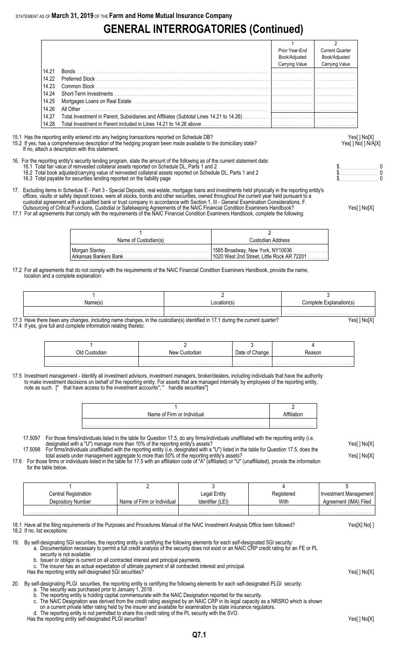# **GENERAL INTERROGATORIES (Continued)**

|       |                                                                                         | Prior Year-End | <b>Current Quarter</b> |
|-------|-----------------------------------------------------------------------------------------|----------------|------------------------|
|       |                                                                                         | Book/Adjusted  | Book/Adjusted          |
|       |                                                                                         | Carrying Value | Carrying Value         |
| 14.21 | <b>Bonds</b>                                                                            |                |                        |
| 14.22 | <b>Preferred Stock Communications</b>                                                   |                |                        |
| 14.23 |                                                                                         |                |                        |
| 14.24 |                                                                                         |                |                        |
| 14.25 |                                                                                         |                |                        |
| 14.26 | All Other                                                                               |                |                        |
| 14.27 |                                                                                         |                |                        |
| 14.28 | Total Investment in Parent included in Lines 14.21 to 14.26 above ……………………………………………………… |                |                        |

15.1 Has the reporting entity entered into any hedging transactions reported on Schedule DB? Yes[ ] No[X]

# 15.2 If yes, has a comprehensive description of the hedging program been made available to the domiciliary state? Yesel 1 No [ ] No [ ] N/A[X]

- 16. For the reporting entity's security lending program, state the amount of the following as of the current statement date:
	- 16.1 Total fair value of reinvested collateral assets reported on Schedule DL, Parts 1 and 2 **but a set a set a set a** set a set a set a set a protect on Schedule DL, Parts 1 and 2 **but a set a set a set a set a set a set** 16.2 Total book adjusted/carrying value of reinvested collateral assets reported on Schedule DL, Parts 1 and 2 \$. . . . . . . . . . . . . . . . . . . . . . . 0 16.2 Total book adjusted/carrying value of reinvested collateral assets reported on Schedule DL, Parts 1 and 2<br>16.3 Total payable for securities lending reported on the liability page the schedule DL, Parts 1 and 2 to the
	-

If no, attach a description with this statement.

- 17. Excluding items in Schedule E Part 3 Special Deposits, real estate, mortgage loans and investments held physically in the reporting entity's offices, vaults or safety deposit boxes, were all stocks, bonds and other securities, owned throughout the current year held pursuant to a custodial agreement with a qualified bank or trust company in accordance with Section 1, III - General Examination Considerations, F.
- Outsourcing of Critical Functions, Custodial or Safekeeping Agreements of the NAIC Financial Condition Examiners Handbook? Yes[ ] No[X] 17.1 For all agreements that comply with the requirements of the NAIC Financial Condition Examiners Handbook, complete the following:

1 and  $\overline{2}$ Name of Custodian(s) and Custodian Address Morgan Stanley . . . . . . . . . . . . . . . . . . . . . . . . . . . . . . . . . . . . . . . . . . . . . . . . . . . . . . . . . . . . 1585 Broadway, New York, NY10036 . . . . . . . . . . . . . . . . . . . . 1020 West 2nd Street, Little Rock AR 72201

17.2 For all agreements that do not comply with the requirements of the NAIC Financial Condition Examiners Handbook, provide the name, location and a complete explanation:

| Name(s | .ocation(s | Complete<br>ationi si |
|--------|------------|-----------------------|
|        |            |                       |

17.3 Have there been any changes, including name changes, in the custodian(s) identified in 17.1 during the current quarter? Yes[ ] No[X] 17.4 If yes, give full and complete information relating thereto:

| ٦k.<br>าเล | New Custoc |  |
|------------|------------|--|
|            |            |  |

17.5 Investment management - Identify all investment advisors, investment managers, broker/dealers, including individuals that have the authority to make investment decisions on behalf of the reporting entity. For assets that are managed internally by employees of the reporting entity, note as such. [" that have access to the investment accounts"; " handle securities"]

| Name of Firm or Individual |  |
|----------------------------|--|
|                            |  |

17.5097 For those firms/individuals listed in the table for Question 17.5, do any firms/individuals unaffiliated with the reporting entity (i.e. designated with a "U") manage more than 10% of the reporting entity's assets? Yes[ ] No[X] 17.5098 For firms/individuals unaffiliated with the reporting entity (i.e. designated with a "U") listed in the table for Question 17.5, does the

total assets under management aggregate to more than 50% of the reporting entity's assets? Yese and the reporting than the reporting entity's assets? 17.6 For those firms or individuals listed in the table for 17.5 with an affiliation code of "A" (affiliated) or "U" (unaffiliated), provide the information for the table below.

| Central Registration |                            | Legal Entity     | Registered | Hnvestment Management |
|----------------------|----------------------------|------------------|------------|-----------------------|
| Depository Number    | Name of Firm or Individual | Identifier (LEI) | With       | Agreement (IMA) Filed |
|                      |                            |                  |            |                       |
|                      |                            | .                |            |                       |

18.1 Have all the filing requirements of the Purposes and Procedures Manual of the NAIC Investment Analysis Office been followed? Yes[X] No[ ] 18.2 If no, list exceptions:

19. By self-designating 5GI securities, the reporting entity is certifying the following elements for each self-designated 5GI security:

a. Documentation necessary to permit a full credit analysis of the security does not exist or an NAIC CRP credit rating for an FE or PL

- security is not available.
- b. Issuer or obligor is current on all contracted interest and principal payments. c. The insurer has an actual expectation of ultimate payment of all contracted interest and principal.
- Has the reporting entity self-designated 5GI securities? The reporting entity self-designated 5GI securities? Yes[] No[X]
- 20. By self-designating PLGI securities, the reporting entity is certifying the following elements for each self-designated PLGI security:
	- a. The security was purchased prior to January 1, 2018 .
	- b. The reporting entity is holding capital commensurate with the NAIC Designation reported for the security.
	- c. The NAIC Designation was derived from the credit rating assigned by an NAIC CRP in its legal capacity as a NRSRO which is shown
	- on a current private letter rating held by the insurer and available for examination by state insurance regulators. d. The reporting entity is not permitted to share this credit rating of the PL security with the SVO.

Has the reporting entity self-designated PLGI securities?<br>Has the reporting entity self-designated PLGI securities?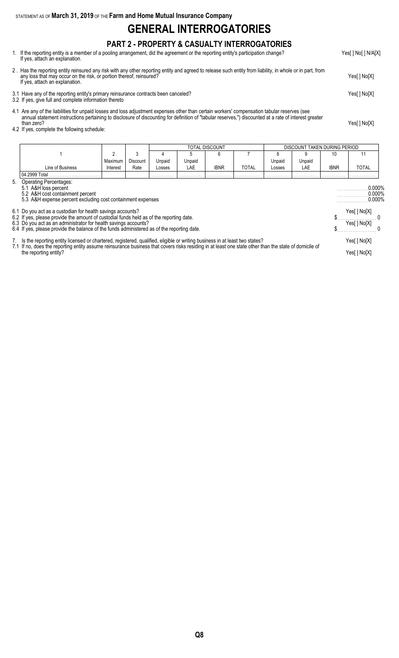STATEMENT AS OF **March 31, 2019** OF THE **Farm and Home Mutual Insurance Company**

# **GENERAL INTERROGATORIES**

## **PART 2 - PROPERTY & CASUALTY INTERROGATORIES**

- 1. If the reporting entity is a member of a pooling arrangement, did the agreement or the reporting entity's participation change? Yes[ ] No[ ] N/A[X] If yes, attach an explanation.
- 2 . Has the reporting entity reinsured any risk with any other reporting entity and agreed to release such entity from liability, in whole or in part, from any loss that may occur on the risk, or portion thereof, reinsured? Yes[ ] No[X] If yes, attach an explanation.
- 3.1 Have any of the reporting entity's primary reinsurance contracts been canceled? Yes[ ] No[X]
- 3.2 If yes, give full and complete information thereto
- 4.1 Are any of the liabilities for unpaid losses and loss adjustment expenses other than certain workers' compensation tabular reserves (see annual statement instructions pertaining to disclosure of discounting for definition of "tabular reserves,") discounted at a rate of interest greater than zero? Yes[ ] No[X]
- 4.2 If yes, complete the following schedule:

|                                                                                                                                                                |                                                                                                                                                                                                                                                                                                                 | TOTAL DISCOUNT<br>DISCOUNT TAKEN DURING PERIOD |                 |        |        |             |              |        |                                  |             |              |
|----------------------------------------------------------------------------------------------------------------------------------------------------------------|-----------------------------------------------------------------------------------------------------------------------------------------------------------------------------------------------------------------------------------------------------------------------------------------------------------------|------------------------------------------------|-----------------|--------|--------|-------------|--------------|--------|----------------------------------|-------------|--------------|
|                                                                                                                                                                |                                                                                                                                                                                                                                                                                                                 | 2                                              | 3               |        |        | 6           |              |        | 9                                | 10          | 11           |
|                                                                                                                                                                |                                                                                                                                                                                                                                                                                                                 | Maximum                                        | <b>Discount</b> | Unpaid | Unpaid |             |              | Unpaid | Unpaid                           |             |              |
|                                                                                                                                                                | Line of Business                                                                                                                                                                                                                                                                                                | Interest                                       | Rate            | Losses | LAE    | <b>IBNR</b> | <b>TOTAL</b> | Losses | LAE                              | <b>IBNR</b> | TOTAL        |
|                                                                                                                                                                | 04.2999 Total                                                                                                                                                                                                                                                                                                   |                                                |                 |        |        |             |              |        |                                  |             |              |
| <b>Operating Percentages:</b><br>5.<br>5.1 A&H loss percent<br>5.2 A&H cost containment percent<br>5.3 A&H expense percent excluding cost containment expenses |                                                                                                                                                                                                                                                                                                                 |                                                |                 |        |        |             |              |        | $0.000\%$<br>0.000%<br>$0.000\%$ |             |              |
|                                                                                                                                                                | 6.1 Do you act as a custodian for health savings accounts?                                                                                                                                                                                                                                                      |                                                |                 |        |        |             |              |        |                                  |             | Yes[] No[X]  |
|                                                                                                                                                                | 6.2 If yes, please provide the amount of custodial funds held as of the reporting date.<br>6.3 Do you act as an administrator for health savings accounts?                                                                                                                                                      |                                                |                 |        |        |             |              |        |                                  |             | Yes[ ] No[X] |
|                                                                                                                                                                | 6.4 If yes, please provide the balance of the funds administered as of the reporting date.                                                                                                                                                                                                                      |                                                |                 |        |        |             |              |        |                                  |             |              |
|                                                                                                                                                                | 7. Is the reporting entity licensed or chartered, registered, qualified, eligible or writing business in at least two states?<br>7.1 If no, does the reporting entity assume reinsurance business that covers risks residing in at least one state other than the state of domicile of<br>the reporting entity? |                                                |                 |        |        |             |              |        | Yes[] No[X]                      |             |              |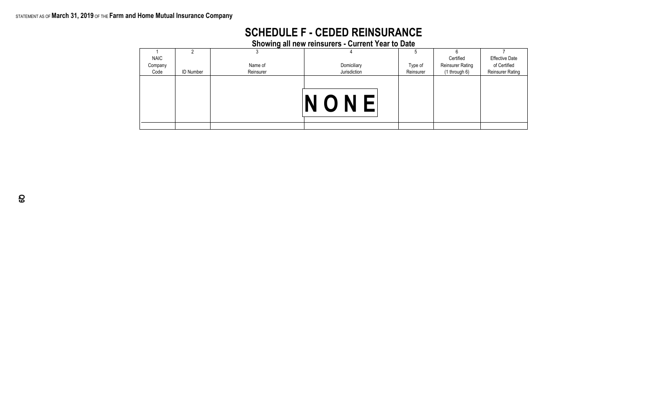## STATEMENT AS OF **March 31, 2019** OF THE **Farm and Home Mutual Insurance Company**

**Showing all new reinsurers - Current Year to Date**

| <b>NAIC</b> |                  |           |              |           | Certified               | <b>Effective Date</b>   |
|-------------|------------------|-----------|--------------|-----------|-------------------------|-------------------------|
| Company     |                  | Name of   | Domiciliary  | Type of   | <b>Reinsurer Rating</b> | of Certified            |
| Code        | <b>ID Number</b> | Reinsurer | Jurisdiction | Reinsurer | (1 through 6)           | <b>Reinsurer Rating</b> |
|             |                  |           | NONE         |           |                         |                         |
|             |                  |           |              |           |                         |                         |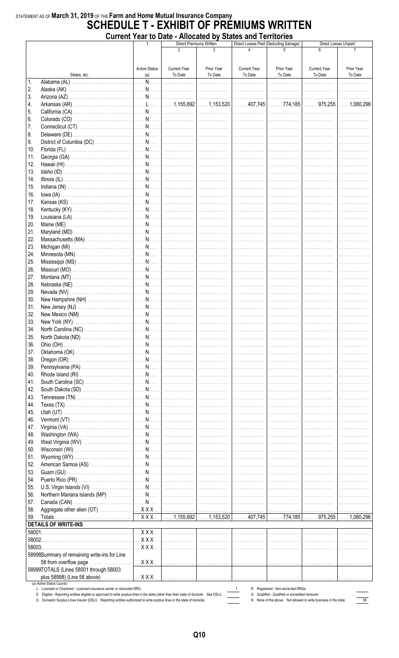### STATEMENT AS OF March 31, 2019 OF THE Farm and Home Mutual Insurance Company **SCHEDULE T - EXHIBIT OF PRÉMIUMS WRITTEN Current Year to Date - Allocated by States and Territories**

|                |                                                                                                                                                                                                                                                                  |                         |                     | <b>THROWLED BY DIRECT RIM TUTTIONED</b><br>Direct Premiums Written |                              | Direct Losses Paid (Deducting Salvage)                                                                            |                     | Direct Losses Unpaid |
|----------------|------------------------------------------------------------------------------------------------------------------------------------------------------------------------------------------------------------------------------------------------------------------|-------------------------|---------------------|--------------------------------------------------------------------|------------------------------|-------------------------------------------------------------------------------------------------------------------|---------------------|----------------------|
|                |                                                                                                                                                                                                                                                                  |                         | 2                   | 3                                                                  |                              |                                                                                                                   |                     |                      |
|                |                                                                                                                                                                                                                                                                  |                         |                     |                                                                    |                              |                                                                                                                   |                     |                      |
|                |                                                                                                                                                                                                                                                                  | <b>Active Status</b>    | <b>Current Year</b> | Prior Year                                                         | <b>Current Year</b>          | Prior Year                                                                                                        | <b>Current Year</b> | Prior Year           |
|                | States, etc.                                                                                                                                                                                                                                                     | (a)                     | To Date             | To Date                                                            | To Date                      | To Date                                                                                                           | To Date             | To Date              |
| $\mathbf{1}$ . |                                                                                                                                                                                                                                                                  | N                       |                     |                                                                    | .                            | .                                                                                                                 | .                   |                      |
| 2.             |                                                                                                                                                                                                                                                                  |                         |                     |                                                                    |                              | .                                                                                                                 | .                   |                      |
| 3.             |                                                                                                                                                                                                                                                                  |                         |                     |                                                                    |                              |                                                                                                                   | .                   | .                    |
| 4.             |                                                                                                                                                                                                                                                                  |                         |                     |                                                                    |                              |                                                                                                                   |                     |                      |
| 5.             |                                                                                                                                                                                                                                                                  |                         |                     |                                                                    |                              |                                                                                                                   |                     |                      |
| 6.             |                                                                                                                                                                                                                                                                  |                         |                     |                                                                    |                              | .                                                                                                                 | .                   | .                    |
| 7.             |                                                                                                                                                                                                                                                                  |                         |                     |                                                                    |                              |                                                                                                                   | .                   |                      |
| 8.             |                                                                                                                                                                                                                                                                  |                         |                     |                                                                    |                              |                                                                                                                   |                     | .                    |
| 9.             |                                                                                                                                                                                                                                                                  |                         |                     |                                                                    |                              |                                                                                                                   |                     | .                    |
| 10.            |                                                                                                                                                                                                                                                                  |                         |                     |                                                                    |                              |                                                                                                                   |                     |                      |
| 11.            |                                                                                                                                                                                                                                                                  |                         |                     |                                                                    |                              |                                                                                                                   |                     | .                    |
| 12.            |                                                                                                                                                                                                                                                                  |                         |                     |                                                                    |                              |                                                                                                                   |                     | .                    |
| 13.            |                                                                                                                                                                                                                                                                  |                         |                     |                                                                    | .                            | .                                                                                                                 | .                   |                      |
| 14.            |                                                                                                                                                                                                                                                                  |                         |                     |                                                                    |                              | .                                                                                                                 | .                   |                      |
| 15.            |                                                                                                                                                                                                                                                                  |                         |                     |                                                                    | .                            | .                                                                                                                 | .                   |                      |
| 16.            |                                                                                                                                                                                                                                                                  |                         |                     |                                                                    |                              | .                                                                                                                 |                     |                      |
| 17.            |                                                                                                                                                                                                                                                                  |                         |                     |                                                                    |                              | .                                                                                                                 | .                   |                      |
| 18.            |                                                                                                                                                                                                                                                                  |                         |                     |                                                                    |                              | .                                                                                                                 | .                   |                      |
| 19.            |                                                                                                                                                                                                                                                                  |                         |                     |                                                                    |                              | .                                                                                                                 |                     |                      |
| 20.            |                                                                                                                                                                                                                                                                  |                         |                     |                                                                    |                              |                                                                                                                   | .                   |                      |
|                |                                                                                                                                                                                                                                                                  |                         |                     |                                                                    |                              |                                                                                                                   |                     |                      |
| 21.<br>22.     |                                                                                                                                                                                                                                                                  |                         |                     |                                                                    |                              |                                                                                                                   |                     |                      |
|                |                                                                                                                                                                                                                                                                  |                         |                     |                                                                    |                              |                                                                                                                   |                     |                      |
| 23.            |                                                                                                                                                                                                                                                                  |                         |                     |                                                                    |                              |                                                                                                                   |                     | .                    |
| 24.            |                                                                                                                                                                                                                                                                  |                         |                     |                                                                    |                              |                                                                                                                   |                     | .                    |
| 25.            |                                                                                                                                                                                                                                                                  |                         |                     |                                                                    |                              | .                                                                                                                 | .                   |                      |
| 26.            |                                                                                                                                                                                                                                                                  |                         |                     |                                                                    | .                            | .                                                                                                                 | .                   |                      |
| 27.            |                                                                                                                                                                                                                                                                  |                         |                     |                                                                    | .                            | .                                                                                                                 | .                   |                      |
| 28.            |                                                                                                                                                                                                                                                                  |                         |                     |                                                                    | <br>                         | .                                                                                                                 |                     |                      |
| 29.            |                                                                                                                                                                                                                                                                  |                         |                     |                                                                    | <br> ----------------------- | . <b>.</b> .                                                                                                      | .                   |                      |
| 30.            |                                                                                                                                                                                                                                                                  |                         |                     |                                                                    |                              | .                                                                                                                 | .                   |                      |
| 31.            |                                                                                                                                                                                                                                                                  |                         |                     |                                                                    |                              | .                                                                                                                 | .                   |                      |
| 32.            |                                                                                                                                                                                                                                                                  |                         |                     |                                                                    |                              |                                                                                                                   | .                   | .                    |
| 33.            |                                                                                                                                                                                                                                                                  |                         |                     |                                                                    |                              |                                                                                                                   |                     | .                    |
| 34.            |                                                                                                                                                                                                                                                                  |                         |                     |                                                                    |                              |                                                                                                                   |                     |                      |
| 35.            |                                                                                                                                                                                                                                                                  |                         |                     |                                                                    |                              | .                                                                                                                 | .                   |                      |
| 36.            |                                                                                                                                                                                                                                                                  |                         |                     |                                                                    |                              | .                                                                                                                 | .                   |                      |
| 37.            |                                                                                                                                                                                                                                                                  |                         |                     |                                                                    | .                            | .                                                                                                                 | .                   |                      |
| 38.            |                                                                                                                                                                                                                                                                  |                         |                     |                                                                    | .                            | .                                                                                                                 | .                   | .                    |
| 39.            |                                                                                                                                                                                                                                                                  |                         |                     |                                                                    | .                            | .                                                                                                                 | .                   |                      |
| 40.            |                                                                                                                                                                                                                                                                  |                         |                     |                                                                    | .                            | .                                                                                                                 |                     |                      |
| 41.            |                                                                                                                                                                                                                                                                  |                         |                     |                                                                    | .                            | .                                                                                                                 | .                   |                      |
| 42.            |                                                                                                                                                                                                                                                                  |                         |                     |                                                                    | .                            | .                                                                                                                 | .                   |                      |
| 43.            |                                                                                                                                                                                                                                                                  |                         |                     |                                                                    |                              | .                                                                                                                 | .                   |                      |
| 44.            |                                                                                                                                                                                                                                                                  |                         |                     |                                                                    |                              |                                                                                                                   | .                   | .                    |
| 45.            |                                                                                                                                                                                                                                                                  |                         |                     |                                                                    |                              |                                                                                                                   |                     | .                    |
| 46.            |                                                                                                                                                                                                                                                                  |                         |                     |                                                                    |                              |                                                                                                                   |                     |                      |
| 47.            |                                                                                                                                                                                                                                                                  |                         |                     |                                                                    |                              |                                                                                                                   |                     |                      |
| 48.            |                                                                                                                                                                                                                                                                  |                         |                     |                                                                    |                              |                                                                                                                   |                     |                      |
|                |                                                                                                                                                                                                                                                                  |                         |                     |                                                                    |                              | .                                                                                                                 | .                   |                      |
| 49.            |                                                                                                                                                                                                                                                                  |                         |                     |                                                                    | .                            | .                                                                                                                 | .                   |                      |
| 50.            |                                                                                                                                                                                                                                                                  |                         |                     |                                                                    | .                            | .                                                                                                                 | .                   |                      |
| 51.            |                                                                                                                                                                                                                                                                  |                         |                     |                                                                    |                              | .                                                                                                                 | .                   |                      |
| 52.            |                                                                                                                                                                                                                                                                  |                         |                     |                                                                    |                              | .                                                                                                                 |                     |                      |
| 53.            |                                                                                                                                                                                                                                                                  |                         |                     |                                                                    | .                            | .                                                                                                                 | .                   |                      |
| 54.            |                                                                                                                                                                                                                                                                  |                         |                     |                                                                    |                              | .                                                                                                                 | .                   |                      |
| 55.            |                                                                                                                                                                                                                                                                  |                         |                     |                                                                    |                              | .                                                                                                                 | .                   |                      |
| 56.            |                                                                                                                                                                                                                                                                  |                         |                     |                                                                    |                              | . 1                                                                                                               | .                   | .                    |
| 57.            |                                                                                                                                                                                                                                                                  |                         |                     |                                                                    |                              |                                                                                                                   |                     | .                    |
| 58.            |                                                                                                                                                                                                                                                                  |                         |                     |                                                                    |                              |                                                                                                                   |                     |                      |
| 59.            |                                                                                                                                                                                                                                                                  |                         |                     |                                                                    |                              |                                                                                                                   |                     |                      |
|                | <b>DETAILS OF WRITE-INS</b>                                                                                                                                                                                                                                      |                         |                     |                                                                    |                              |                                                                                                                   |                     |                      |
|                |                                                                                                                                                                                                                                                                  | $\ldots$ X X X $\ldots$ | .                   | .                                                                  | .                            | .                                                                                                                 |                     |                      |
| 58002.         |                                                                                                                                                                                                                                                                  | $\ldots$ X X X $\ldots$ | .                   | .                                                                  | .                            | .                                                                                                                 | .                   |                      |
| 58003.         |                                                                                                                                                                                                                                                                  | $$ $XXX$                | .                   | .                                                                  | .                            | .                                                                                                                 |                     |                      |
|                | 58998Summary of remaining write-ins for Line                                                                                                                                                                                                                     |                         |                     |                                                                    |                              |                                                                                                                   |                     |                      |
|                | 58 from overflow page                                                                                                                                                                                                                                            |                         |                     |                                                                    |                              |                                                                                                                   | .                   |                      |
|                | 58999TOTALS (Lines 58001 through 58003                                                                                                                                                                                                                           |                         |                     |                                                                    |                              |                                                                                                                   |                     |                      |
|                | plus 58998) (Line 58 above)                                                                                                                                                                                                                                      | $\ldots$ $XXX$ $\ldots$ |                     |                                                                    |                              | .                                                                                                                 | .                   |                      |
|                | (a) Active Status Counts:                                                                                                                                                                                                                                        |                         |                     |                                                                    |                              |                                                                                                                   |                     |                      |
|                | L Licensed or Chartered - Licensed insurance carrier or domiciled RRG                                                                                                                                                                                            |                         |                     |                                                                    |                              | R Registered - Non-domiciled RRGs                                                                                 |                     |                      |
|                | E Eligible - Reporting entities eligible or approved to write surplus lines in the state (other than their state of domicile See DSLI)<br>D Domestic Surplus Lines Insurer (DSLI) Reporting entities authorized to write surplus lines in the state of domicile. |                         |                     |                                                                    |                              | Q Qualified - Qualified or accredited reinsurer<br>N None of the above Not allowed to write business in the state |                     | 56                   |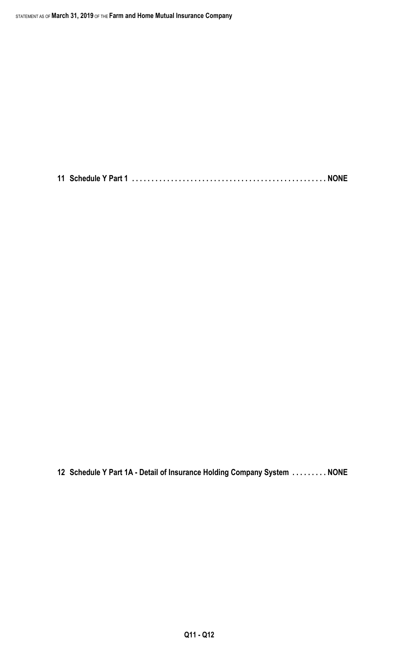**11 Schedule Y Part 1 . . . . . . . . . . . . . . . . . . . . . . . . . . . . . . . . . . . . . . . . . . . . . . . . . . NONE**

**12 Schedule Y Part 1A - Detail of Insurance Holding Company System . . . . . . . . . NONE**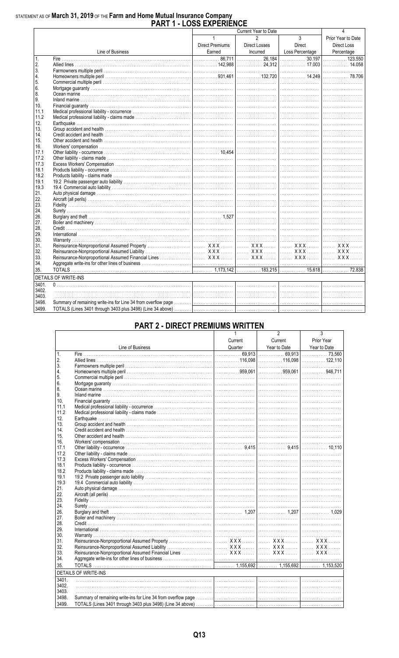# STATEMENT AS OF March 31, 2019 OF THE Farm and Home Mutual Insurance Company<br>PART 1 - LOSS EXPERIENCE

| Current Year to Date<br>$\mathfrak{p}$<br>$\mathbf{3}$<br>$\mathbf{1}$<br>Prior Year to Date<br>Direct<br><b>Direct Premiums</b><br>Direct Losses<br>Direct Loss<br>Earned<br>Incurred<br>Loss Percentage<br>Earned Incurred Loss Percentage Percentage Percentage Line of Business Earned Earned Loss Percentage Percentage Percentage Percentage Percentage Percentage Percentage Percentage Percentage Percentage Percentage Percentage<br>1.<br>2.<br>3.<br>4.<br>5.<br>6.<br>8.<br>9.<br>10.<br>11.1<br>11.2<br>12.<br>13.<br>14.<br>15.<br>16.<br>17.1<br>17.2<br>17.3<br>18.1<br>18.2<br>19.1<br>19.3<br>21.<br>22.<br>23.<br>24.<br>26.<br>27.<br>28.<br>29.<br>30.<br>31.<br>32.<br>33.<br>34.<br>35.<br><b>DETAILS OF WRITE-INS</b><br>3401.<br>3402.<br>3403.<br>3498.<br>3499. |  |  |  |
|--------------------------------------------------------------------------------------------------------------------------------------------------------------------------------------------------------------------------------------------------------------------------------------------------------------------------------------------------------------------------------------------------------------------------------------------------------------------------------------------------------------------------------------------------------------------------------------------------------------------------------------------------------------------------------------------------------------------------------------------------------------------------------------------|--|--|--|
|                                                                                                                                                                                                                                                                                                                                                                                                                                                                                                                                                                                                                                                                                                                                                                                            |  |  |  |
|                                                                                                                                                                                                                                                                                                                                                                                                                                                                                                                                                                                                                                                                                                                                                                                            |  |  |  |
|                                                                                                                                                                                                                                                                                                                                                                                                                                                                                                                                                                                                                                                                                                                                                                                            |  |  |  |
|                                                                                                                                                                                                                                                                                                                                                                                                                                                                                                                                                                                                                                                                                                                                                                                            |  |  |  |
|                                                                                                                                                                                                                                                                                                                                                                                                                                                                                                                                                                                                                                                                                                                                                                                            |  |  |  |
|                                                                                                                                                                                                                                                                                                                                                                                                                                                                                                                                                                                                                                                                                                                                                                                            |  |  |  |
|                                                                                                                                                                                                                                                                                                                                                                                                                                                                                                                                                                                                                                                                                                                                                                                            |  |  |  |
|                                                                                                                                                                                                                                                                                                                                                                                                                                                                                                                                                                                                                                                                                                                                                                                            |  |  |  |
|                                                                                                                                                                                                                                                                                                                                                                                                                                                                                                                                                                                                                                                                                                                                                                                            |  |  |  |
|                                                                                                                                                                                                                                                                                                                                                                                                                                                                                                                                                                                                                                                                                                                                                                                            |  |  |  |
|                                                                                                                                                                                                                                                                                                                                                                                                                                                                                                                                                                                                                                                                                                                                                                                            |  |  |  |
|                                                                                                                                                                                                                                                                                                                                                                                                                                                                                                                                                                                                                                                                                                                                                                                            |  |  |  |
|                                                                                                                                                                                                                                                                                                                                                                                                                                                                                                                                                                                                                                                                                                                                                                                            |  |  |  |
|                                                                                                                                                                                                                                                                                                                                                                                                                                                                                                                                                                                                                                                                                                                                                                                            |  |  |  |
|                                                                                                                                                                                                                                                                                                                                                                                                                                                                                                                                                                                                                                                                                                                                                                                            |  |  |  |
|                                                                                                                                                                                                                                                                                                                                                                                                                                                                                                                                                                                                                                                                                                                                                                                            |  |  |  |
|                                                                                                                                                                                                                                                                                                                                                                                                                                                                                                                                                                                                                                                                                                                                                                                            |  |  |  |
|                                                                                                                                                                                                                                                                                                                                                                                                                                                                                                                                                                                                                                                                                                                                                                                            |  |  |  |
|                                                                                                                                                                                                                                                                                                                                                                                                                                                                                                                                                                                                                                                                                                                                                                                            |  |  |  |
|                                                                                                                                                                                                                                                                                                                                                                                                                                                                                                                                                                                                                                                                                                                                                                                            |  |  |  |
|                                                                                                                                                                                                                                                                                                                                                                                                                                                                                                                                                                                                                                                                                                                                                                                            |  |  |  |
|                                                                                                                                                                                                                                                                                                                                                                                                                                                                                                                                                                                                                                                                                                                                                                                            |  |  |  |
|                                                                                                                                                                                                                                                                                                                                                                                                                                                                                                                                                                                                                                                                                                                                                                                            |  |  |  |
|                                                                                                                                                                                                                                                                                                                                                                                                                                                                                                                                                                                                                                                                                                                                                                                            |  |  |  |
|                                                                                                                                                                                                                                                                                                                                                                                                                                                                                                                                                                                                                                                                                                                                                                                            |  |  |  |
|                                                                                                                                                                                                                                                                                                                                                                                                                                                                                                                                                                                                                                                                                                                                                                                            |  |  |  |
|                                                                                                                                                                                                                                                                                                                                                                                                                                                                                                                                                                                                                                                                                                                                                                                            |  |  |  |
|                                                                                                                                                                                                                                                                                                                                                                                                                                                                                                                                                                                                                                                                                                                                                                                            |  |  |  |
|                                                                                                                                                                                                                                                                                                                                                                                                                                                                                                                                                                                                                                                                                                                                                                                            |  |  |  |
|                                                                                                                                                                                                                                                                                                                                                                                                                                                                                                                                                                                                                                                                                                                                                                                            |  |  |  |
|                                                                                                                                                                                                                                                                                                                                                                                                                                                                                                                                                                                                                                                                                                                                                                                            |  |  |  |
|                                                                                                                                                                                                                                                                                                                                                                                                                                                                                                                                                                                                                                                                                                                                                                                            |  |  |  |
|                                                                                                                                                                                                                                                                                                                                                                                                                                                                                                                                                                                                                                                                                                                                                                                            |  |  |  |
|                                                                                                                                                                                                                                                                                                                                                                                                                                                                                                                                                                                                                                                                                                                                                                                            |  |  |  |
|                                                                                                                                                                                                                                                                                                                                                                                                                                                                                                                                                                                                                                                                                                                                                                                            |  |  |  |
|                                                                                                                                                                                                                                                                                                                                                                                                                                                                                                                                                                                                                                                                                                                                                                                            |  |  |  |
|                                                                                                                                                                                                                                                                                                                                                                                                                                                                                                                                                                                                                                                                                                                                                                                            |  |  |  |
|                                                                                                                                                                                                                                                                                                                                                                                                                                                                                                                                                                                                                                                                                                                                                                                            |  |  |  |
|                                                                                                                                                                                                                                                                                                                                                                                                                                                                                                                                                                                                                                                                                                                                                                                            |  |  |  |
|                                                                                                                                                                                                                                                                                                                                                                                                                                                                                                                                                                                                                                                                                                                                                                                            |  |  |  |
|                                                                                                                                                                                                                                                                                                                                                                                                                                                                                                                                                                                                                                                                                                                                                                                            |  |  |  |
|                                                                                                                                                                                                                                                                                                                                                                                                                                                                                                                                                                                                                                                                                                                                                                                            |  |  |  |
|                                                                                                                                                                                                                                                                                                                                                                                                                                                                                                                                                                                                                                                                                                                                                                                            |  |  |  |
|                                                                                                                                                                                                                                                                                                                                                                                                                                                                                                                                                                                                                                                                                                                                                                                            |  |  |  |
|                                                                                                                                                                                                                                                                                                                                                                                                                                                                                                                                                                                                                                                                                                                                                                                            |  |  |  |
|                                                                                                                                                                                                                                                                                                                                                                                                                                                                                                                                                                                                                                                                                                                                                                                            |  |  |  |
|                                                                                                                                                                                                                                                                                                                                                                                                                                                                                                                                                                                                                                                                                                                                                                                            |  |  |  |
|                                                                                                                                                                                                                                                                                                                                                                                                                                                                                                                                                                                                                                                                                                                                                                                            |  |  |  |

## **PART 2 - DIRECT PREMIUMS WRITTEN**

|                 |                             |         | 2            | 3            |
|-----------------|-----------------------------|---------|--------------|--------------|
|                 |                             | Current | Current      | Prior Year   |
|                 | Line of Business            | Quarter | Year to Date | Year to Date |
| $\mathbf{1}$    |                             |         |              |              |
| 2.              |                             |         |              |              |
| 3.              |                             |         |              |              |
| 4.              |                             |         |              |              |
| 5.              |                             |         |              |              |
| 6.              |                             |         |              |              |
| 8.              |                             |         |              |              |
| 9.              |                             |         |              |              |
| 10 <sup>1</sup> |                             |         |              |              |
| 11.1            |                             |         |              |              |
| 11.2            |                             |         |              |              |
| 12.             |                             |         |              |              |
| 13.             |                             |         |              |              |
| 14.             |                             |         |              |              |
| 15.             |                             |         |              |              |
| 16.             |                             |         |              |              |
| 17.1            |                             |         |              |              |
| 17.2            |                             |         |              |              |
| 17.3            |                             |         |              |              |
| 18.1            |                             |         |              |              |
| 18.2            |                             |         |              |              |
| 19.1            |                             |         |              |              |
| 19.3            |                             |         |              |              |
| 21.             |                             |         |              |              |
| 22.             |                             |         |              |              |
| 23.             |                             |         |              |              |
| 24.             |                             |         |              |              |
| 26.             |                             |         |              |              |
| 27.             |                             |         |              |              |
| 28.             |                             |         |              |              |
| 29.             |                             |         |              |              |
| 30.             |                             |         |              |              |
| 31.             |                             |         |              |              |
| 32.             |                             |         |              |              |
| 33.             |                             |         |              |              |
| 34.             |                             |         |              |              |
| 35.             |                             |         |              |              |
|                 | <b>DETAILS OF WRITE-INS</b> |         |              |              |
| 3401.           |                             |         |              |              |
| 3402.           |                             |         |              |              |
| 3403.           |                             |         |              |              |
| 3498.           |                             |         |              |              |
| 3499.           |                             |         |              |              |
|                 |                             |         |              |              |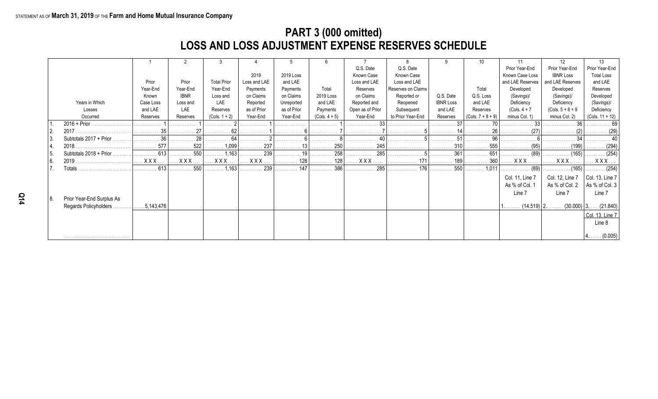# **PART 3 (000 omitted) LOSS AND LOSS ADJUSTMENT EXPENSE RESERVES SCHEDULE**

|      |                           |            |             |                    |              |             | 6               |                  |                    |                  | 10                  |                  | 12                  | 13                           |
|------|---------------------------|------------|-------------|--------------------|--------------|-------------|-----------------|------------------|--------------------|------------------|---------------------|------------------|---------------------|------------------------------|
|      |                           |            |             |                    |              |             |                 | Q.S. Date        | Q.S. Date          |                  |                     | Prior Year-End   | Prior Year-End      | Prior Year-End               |
|      |                           |            |             |                    | 2019         | 2019 Loss   |                 | Known Case       | Known Case         |                  |                     | Known Case Loss  | <b>IBNR Loss</b>    | <b>Total Loss</b>            |
|      |                           | Prior      | Prior       | <b>Total Prior</b> | Loss and LAE | and LAE     |                 | Loss and LAE     | Loss and LAE       |                  |                     | and LAE Reserves | and LAE Reserves    | and LAE                      |
|      |                           | Year-End   | Year-End    | Year-End           | Payments     | Payments    | Total           | Reserves         | Reserves on Claims |                  | Total               | Developed        | Developed           | Reserves                     |
|      |                           | Known      | <b>IBNR</b> | Loss and           | on Claims    | on Claims   | 2019 Loss       | on Claims        | Reported or        | Q.S. Date        | Q.S. Loss           | (Savings)/       | (Savings)/          | Developed                    |
|      | Years in Which            | Case Loss  | Loss and    | LAE                | Reported     | Unreported  | and LAE         | Reported and     | Reopened           | <b>IBNR Loss</b> | and LAE             | Deficiency       | Deficiency          | (Savings)/                   |
|      | Losses                    | and LAE    | LAE         | Reserves           | as of Prior  | as of Prior | Payments        | Open as of Prior | Subsequent         | and LAE          | Reserves            | $(Cols. 4 + 7)$  | $(Cols. 5 + 8 + 9)$ | Deficiency                   |
|      | Occurred                  | Reserves   | Reserves    | $(Cols. 1 + 2)$    | Year-End     | Year-End    | $(Cols. 4 + 5)$ | Year-End         | to Prior Year-End  | Reserves         | $(Cols. 7 + 8 + 9)$ | minus Col. 1)    | minus Col. 2)       | (Cols. 11 + 12)              |
|      |                           |            |             |                    | .            | .           | .               |                  |                    | .                |                     |                  |                     |                              |
|      |                           |            |             | .                  | .            | .           | .               |                  |                    | .                | 26<br>.             | . (27)           | .                   |                              |
| l 3. | Subtotals 2017 + Prior.   | . 36       | 28          | 64                 |              |             |                 |                  |                    |                  |                     |                  |                     |                              |
|      | 2018.                     | 577        | . 522       | 1,099              | . 237        | . 13        | . 250           | . 245            |                    | . 310            | . 555               | . (95)           | (199)<br>.          | . (294)                      |
| l 5. | Subtotals $2018 + Prior$  | 613        | 550         | 1,163              | . 239        | . 19        | 258             | . 285            |                    | 361              | 651                 | . (89)           |                     | . (254)                      |
| l 6. | 2019                      | <b>XXX</b> | <b>XXX</b>  | <b>XXX</b>         | <b>XXX</b>   | 128         | 128             | <b>XXX</b>       |                    | 189              | 360                 | <b>XXX</b>       | <b>XXX</b> .        | <b>XXX</b>                   |
|      | Totals                    | 613        | . 550       | $\ldots$ 1,163     | . 239        | 147         |                 | . 285            | . 176              | . 550            | 1,011               | (89)             |                     | $\ldots \ldots \ldots (254)$ |
|      |                           |            |             |                    |              |             |                 |                  |                    |                  |                     | Col. 11, Line 7  | Col. 12, Line 7     | Col. 13, Line $7$            |
|      |                           |            |             |                    |              |             |                 |                  |                    |                  |                     | As % of Col. 1   | As % of Col. 2      | As % of Col. 3               |
|      |                           |            |             |                    |              |             |                 |                  |                    |                  |                     | Line 7           | Line 7              | Line 7                       |
| 8.   | Prior Year-End Surplus As |            |             |                    |              |             |                 |                  |                    |                  |                     |                  |                     |                              |
|      | Regards Policyholders     | 5,143,476  |             |                    |              |             |                 |                  |                    |                  |                     | $(14.519)$ 2.    |                     | $(30.000)$ 3 $(21.840)$      |
|      |                           |            |             |                    |              |             |                 |                  |                    |                  |                     |                  |                     | Col. 13, Line 7              |
|      |                           |            |             |                    |              |             |                 |                  |                    |                  |                     |                  |                     | Line 8                       |
|      |                           |            |             |                    |              |             |                 |                  |                    |                  |                     |                  |                     |                              |
|      |                           |            |             |                    |              |             |                 |                  |                    |                  |                     |                  |                     | (0.005)                      |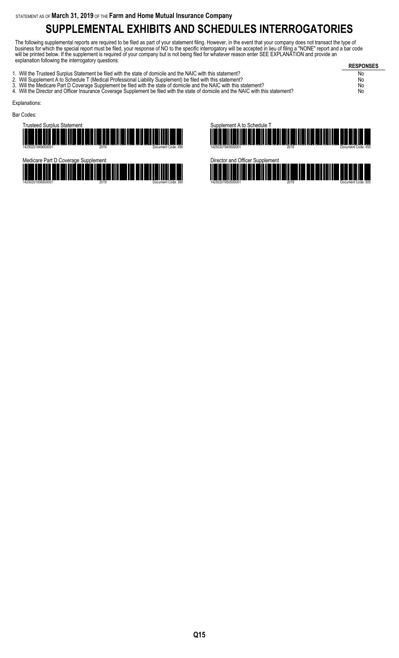# **SUPPLEMENTAL EXHIBITS AND SCHEDULES INTERROGATORIES**

The following supplemental reports are required to be filed as part of your statement filing. However, in the event that your company does not transact the type of business for which the special report must be filed, your response of NO to the specific interrogatory will be accepted in lieu of filing a "NONE" report and a bar code will be printed below. If the supplement is required of your company but is not being filed for whatever reason enter SEE EXPLANATION and provide an explanation following the interrogatory questions.

**RESPONSES** 1. Will the Trusteed Surplus Statement be filed with the state of domicile and the NAIC with this statement? No 2. Will Supplement A to Schedule T (Medical Professional Liability Supplement) be filed with this statement? No 3. Will the Medicare Part D Coverage Supplement be filed with the state of domicile and the NAIC with this statement? No 3. Will the Medicare Part D Coverage Supplement be filed with the state of domicile and the NAIC with this statement?<br>4. Will the Director and Officer Insurance Coverage Supplement be filed with the state of domicile and t Explanations: Bar Codes:







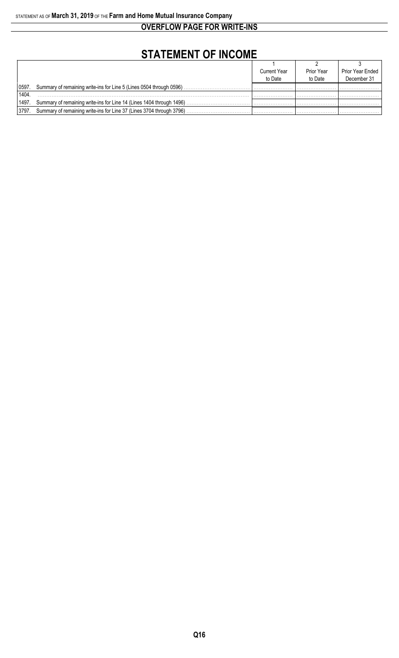**OVERFLOW PAGE FOR WRITE-INS**

# **STATEMENT OF INCOME**

|                    |                                                                      | <b>Current Year</b> | <b>Prior Year</b> | Prior Year Ended |
|--------------------|----------------------------------------------------------------------|---------------------|-------------------|------------------|
|                    |                                                                      | to Date             | to Date           | December 31      |
| 10597.             | Summary of remaining write-ins for Line 5 (Lines 0504 through 0596)  |                     |                   |                  |
| 1404               |                                                                      |                     |                   |                  |
| <sup>1</sup> 1497. | Summary of remaining write-ins for Line 14 (Lines 1404 through 1496) |                     |                   |                  |
| 3797.              | Summary of remaining write-ins for Line 37 (Lines 3704 through 3796) |                     |                   |                  |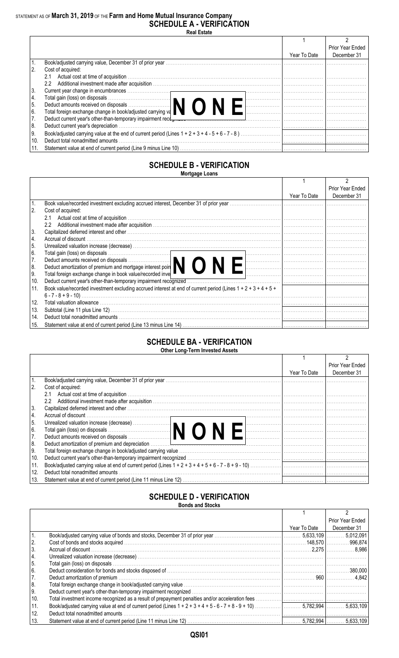### STATEMENT AS OF **March 31, 2019** OF THE **Farm and Home Mutual Insurance Company SCHEDULE A - VERIFICATION Real Estate**

|             |                                                                                                                                                                                                                                |              | Prior Year Ended |
|-------------|--------------------------------------------------------------------------------------------------------------------------------------------------------------------------------------------------------------------------------|--------------|------------------|
|             |                                                                                                                                                                                                                                | Year To Date | December 31      |
|             |                                                                                                                                                                                                                                |              |                  |
| 2.          | Cost of acquired:                                                                                                                                                                                                              |              |                  |
|             | 2.1                                                                                                                                                                                                                            |              |                  |
|             | Additional investment made after acquisition measure that contain the control of the control of the control of<br>$2.2\degree$                                                                                                 |              |                  |
| 3.          |                                                                                                                                                                                                                                |              |                  |
| 4.          | Total gain (loss) on disposals<br>Deduct amounts received on disposals<br>Total foreign exchange change in book/adjusted carrying va                                                                                           |              |                  |
| $\boxed{5}$ |                                                                                                                                                                                                                                |              |                  |
| l 6.        |                                                                                                                                                                                                                                |              |                  |
| 7.          | Deduct current year's other-than-temporary impairment recotomers contained and contained and contained and contained and contained and contained and contained and contained and contained and contained and contained and con |              |                  |
| 8.          | Deduct current year's depreciation.                                                                                                                                                                                            |              |                  |
| l 9.        |                                                                                                                                                                                                                                |              |                  |
| 10.         | Deduct total nonadmitted amounts                                                                                                                                                                                               |              |                  |
|             |                                                                                                                                                                                                                                |              |                  |

### **SCHEDULE B - VERIFICATION Mortgage Loans**

|     |                                                                                                                                     |              | Prior Year Ended |
|-----|-------------------------------------------------------------------------------------------------------------------------------------|--------------|------------------|
|     |                                                                                                                                     | Year To Date | December 31      |
|     |                                                                                                                                     |              |                  |
| 2.  | Cost of acquired:                                                                                                                   |              |                  |
|     | 2.1                                                                                                                                 |              |                  |
|     | $2.2^{\circ}$                                                                                                                       |              |                  |
| 3.  |                                                                                                                                     |              |                  |
| 4.  |                                                                                                                                     |              |                  |
| 5.  |                                                                                                                                     |              |                  |
| 6.  | Total gain (loss) on disposals<br>Deduct amounts received on disposals<br>Deduct amortization of premium and mortgage interest poin |              |                  |
| 7.  |                                                                                                                                     |              |                  |
| 8.  |                                                                                                                                     |              |                  |
| 9.  | Total foreign exchange change in book value/recorded inve                                                                           |              |                  |
| 10. | Deduct current year's other-than-temporary impairment recognized                                                                    |              |                  |
| 11. | Book value/recorded investment excluding accrued interest at end of current period (Lines $1 + 2 + 3 + 4 + 5 + 1$ )                 |              |                  |
|     |                                                                                                                                     |              |                  |
| 12. |                                                                                                                                     |              |                  |
| 13. |                                                                                                                                     |              |                  |
| 14. |                                                                                                                                     |              |                  |
| 15. |                                                                                                                                     |              |                  |

#### **SCHEDULE BA - VERIFICATION Other Long-Term Invested Assets**

|      |                                                                                                                                                                                                                                |              | Prior Year Ended |
|------|--------------------------------------------------------------------------------------------------------------------------------------------------------------------------------------------------------------------------------|--------------|------------------|
|      |                                                                                                                                                                                                                                | Year To Date | December 31      |
|      |                                                                                                                                                                                                                                |              |                  |
| 2.   | Cost of acquired:                                                                                                                                                                                                              |              |                  |
|      | 2.1                                                                                                                                                                                                                            |              |                  |
|      | $2.2^{\circ}$                                                                                                                                                                                                                  |              |                  |
| 3.   | Capitalized deferred interest and other manufactured and content to the content of the content of the content of the content of the content of the content of the content of the content of the content of the content of the  |              |                  |
| 4.   |                                                                                                                                                                                                                                |              |                  |
| l 5. |                                                                                                                                                                                                                                |              |                  |
| 16.  | Unrealized valuation increase (decrease)<br>Total gain (loss) on disposals<br>Deduct amounts received on disposals<br>Deduct amounts received on disposals                                                                     |              |                  |
| 7.   |                                                                                                                                                                                                                                |              |                  |
| 8.   | Deduct amortization of premium and depreciation measured the contract of the contract of the contract of the contract of the contract of the contract of the contract of the contract of the contract of the contract of the c |              |                  |
| I 9. |                                                                                                                                                                                                                                |              |                  |
| 10.  |                                                                                                                                                                                                                                |              |                  |
| 11.  |                                                                                                                                                                                                                                |              |                  |
| 12.  | Deduct total nonadmitted amounts                                                                                                                                                                                               |              |                  |
| 13.  |                                                                                                                                                                                                                                |              |                  |
|      |                                                                                                                                                                                                                                |              |                  |

### **SCHEDULE D - VERIFICATION Bonds and Stocks**

|         |                                  |              | Prior Year Ended |
|---------|----------------------------------|--------------|------------------|
|         |                                  | Year To Date | December 31      |
|         |                                  |              |                  |
| 2.      |                                  |              |                  |
| l 3.    |                                  |              |                  |
| 4.      |                                  |              |                  |
| 5.      |                                  |              |                  |
| 6.      |                                  |              |                  |
| 7.      |                                  |              |                  |
| 8.      |                                  |              |                  |
| 9.      |                                  |              |                  |
| 10.     |                                  |              |                  |
| $ 11$ . |                                  |              |                  |
| 12.     | Deduct total nonadmitted amounts |              |                  |
| 13.     |                                  |              |                  |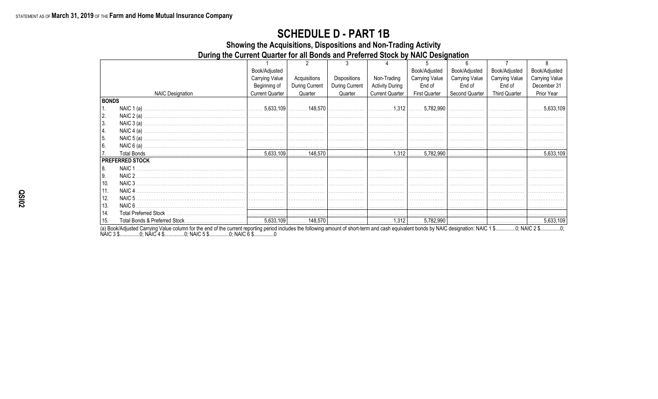## **SCHEDULE D - PART 1B**

Showing the Acquisitions, Dispositions and Non-Trading Activity

During the Current Quarter for all Bonds and Preferred Stock by NAIC Designation

|              |                         | Book/Adjusted          |                |                |                        | Book/Adjusted         | Book/Adjusted  | Book/Adjusted         | Book/Adjusted         |
|--------------|-------------------------|------------------------|----------------|----------------|------------------------|-----------------------|----------------|-----------------------|-----------------------|
|              |                         | <b>Carrying Value</b>  | Acquisitions   | Dispositions   | Non-Trading            | <b>Carrying Value</b> | Carrying Value | <b>Carrying Value</b> | <b>Carrying Value</b> |
|              |                         | Beginning of           | During Current | During Current | <b>Activity During</b> | End of                | End of         | End of                | December 31           |
|              | <b>NAIC Designation</b> | <b>Current Quarter</b> | Quarter        | Quarter        | <b>Current Quarter</b> | <b>First Quarter</b>  | Second Quarter | <b>Third Quarter</b>  | Prior Year            |
| <b>BONDS</b> |                         |                        |                |                |                        |                       |                |                       |                       |
| 1.           | NAIC $1(a)$ .           |                        |                |                |                        |                       |                |                       |                       |
| 2.           | NAIC $2(a)$             |                        |                |                |                        |                       |                |                       |                       |
| 3.           |                         |                        |                |                |                        |                       |                |                       |                       |
| 4.           | NAIC $4(a)$             |                        |                |                |                        |                       |                |                       |                       |
| 5.           | NAIC $5(a)$ .           |                        |                |                |                        |                       |                |                       |                       |
| 6.           | NAIC $6(a)$ .           |                        |                |                |                        |                       |                |                       |                       |
|              |                         |                        |                |                |                        |                       |                |                       |                       |
|              | <b>PREFERRED STOCK</b>  |                        |                |                |                        |                       |                |                       |                       |
| 8.           | NAIC 1                  |                        |                |                |                        |                       |                |                       |                       |
| 9.           | NAIC 2                  |                        |                |                |                        |                       |                |                       |                       |
| 10.          | NAIC 3                  |                        |                |                |                        |                       |                |                       |                       |
| 11.          | NAIC <sub>4</sub>       |                        |                |                |                        |                       |                |                       |                       |
| 12.          | NAIC 5                  |                        |                |                |                        |                       |                |                       |                       |
| 13.          |                         |                        |                |                |                        |                       |                |                       |                       |
| 14.          |                         |                        |                |                |                        |                       |                |                       |                       |
| 15.          |                         |                        |                |                |                        |                       |                |                       | 5,633,109             |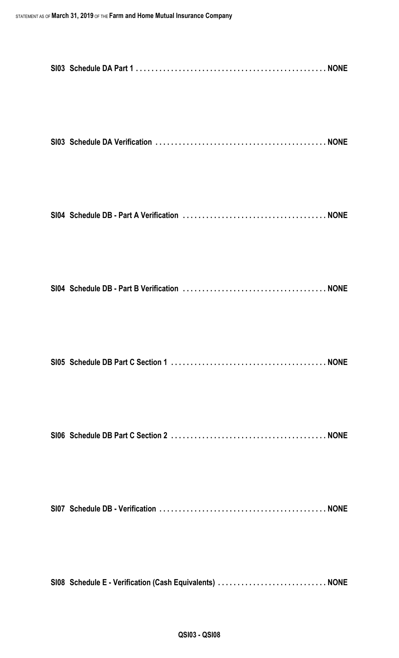| SI08 Schedule E - Verification (Cash Equivalents)  NONE |
|---------------------------------------------------------|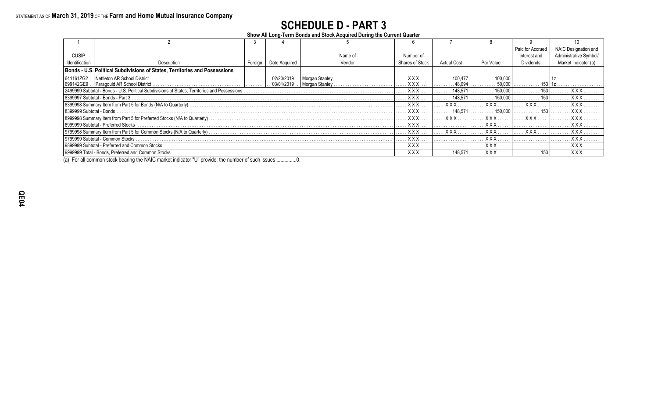# **SCHEDULE D - PART 3**

**Show All Long-Term Bonds and Stock Acquired During the Current Quarter**

|                                  |                                                                                                         |         |                    |                |                        |                    |            | Paid for Accrued | NAIC Designation an |
|----------------------------------|---------------------------------------------------------------------------------------------------------|---------|--------------------|----------------|------------------------|--------------------|------------|------------------|---------------------|
| <b>CUSIP</b>                     |                                                                                                         |         |                    | Name of        | Number of              |                    |            | Interest and     |                     |
| Identification                   | Description                                                                                             | Foreign | Date Acquired      | Vendor         | <b>Shares of Stock</b> | <b>Actual Cost</b> | Par Value  | Dividends        | Market Indicator (a |
|                                  | Bonds - U.S. Political Subdivisions of States, Territories and Possessions                              |         |                    |                |                        |                    |            |                  |                     |
| 641161ZG2                        | Nettleton AR School District                                                                            |         | 02/20/2019         | Morgan Stanley | <b>XXX</b>             | 100 477            | 100 001    |                  |                     |
| 699142GE9                        | . Paragould AR School District.                                                                         |         | $\vert$ 03/01/2019 | Morgan Stanley | <b>XXX</b>             | 48.094             | 50.000     |                  |                     |
|                                  | 2499999 Subtotal - Bonds - U.S. Political Subdivisions of States, Territories and Possessions           |         |                    |                | <b>XXX</b>             | 148.57'            | 150,000    |                  | x x x               |
|                                  | 8399997 Subtotal - Bonds - Part 3                                                                       |         |                    |                | <b>XXX</b>             | 148.57             | 150.000    |                  | <b>XXX</b>          |
|                                  |                                                                                                         |         |                    |                | <b>XXX</b>             | XXX                | XXX        | <b>XXX</b>       | <b>XXX</b>          |
| 8399999 Subtotal - Bonds         |                                                                                                         |         |                    |                | <b>XXX</b>             | 148.57'            | 150.000    |                  | <b>XXX</b>          |
|                                  | 8999998 Summary Item from Part 5 for Preferred Stocks (N/A to Quarterly) ……………………………………………………………………………… |         |                    |                | <b>XXX</b>             | <b>XXX</b>         | <b>XXX</b> | <b>XXX</b>       |                     |
|                                  | 8999999 Subtotal - Preferred Stocks                                                                     |         |                    |                | <b>XXX</b>             |                    | <b>XXX</b> |                  | <b>XXX</b>          |
|                                  |                                                                                                         |         |                    |                | <b>XXX</b>             | <b>XXX</b>         | <b>XXX</b> | $X$ $X$ $X$      |                     |
| 9799999 Subtotal - Common Stocks |                                                                                                         |         |                    |                | <b>XXX</b>             |                    | <b>XXX</b> |                  |                     |
|                                  | 9899999 Subtotal - Preferred and Common Stocks                                                          |         |                    |                | <b>XXX</b>             |                    | <b>XXX</b> |                  | <b>XXX</b>          |
|                                  |                                                                                                         |         |                    |                | . X X X                | 148.57'            | <b>XXX</b> |                  | <b>XXX</b>          |

(a) For all common stock bearing the NAIC market indicator "U" provide: the number of such issues ...............0.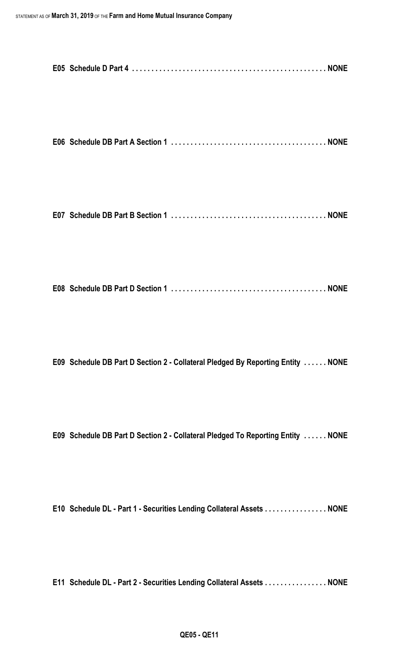|--|--|--|--|--|

```
E07 Schedule DB Part B Section 1 . . . . . . . . . . . . . . . . . . . . . . . . . . . . . . . . . . . . . . . . NONE
```

|--|--|--|

**E09 Schedule DB Part D Section 2 - Collateral Pledged By Reporting Entity . . . . . . NONE**

**E09 Schedule DB Part D Section 2 - Collateral Pledged To Reporting Entity . . . . . . NONE**

**E10 Schedule DL - Part 1 - Securities Lending Collateral Assets . . . . . . . . . . . . . . . . NONE**

**E11 Schedule DL - Part 2 - Securities Lending Collateral Assets . . . . . . . . . . . . . . . . NONE**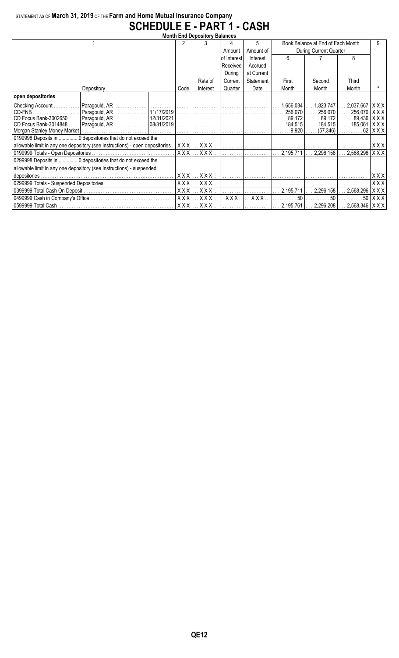## STATEMENT AS OF **March 31, 2019** OF THE **Farm and Home Mutual Insurance Company SCHEDULE E - PART 1 - CASH**

| <b>Month End Depository Balances</b>                                          |            |                                                   |             |            |                              |                                   |                                                               |              |  |  |
|-------------------------------------------------------------------------------|------------|---------------------------------------------------|-------------|------------|------------------------------|-----------------------------------|---------------------------------------------------------------|--------------|--|--|
|                                                                               |            | 3                                                 |             | 5.         |                              | Book Balance at End of Each Month | 9                                                             |              |  |  |
|                                                                               |            |                                                   | Amount      | Amount of  | During Current Quarter       |                                   |                                                               |              |  |  |
|                                                                               |            |                                                   | of Interest | Interest   | 6                            |                                   | 8                                                             |              |  |  |
|                                                                               |            |                                                   | Received    | Accrued    |                              |                                   |                                                               |              |  |  |
|                                                                               |            |                                                   | Durina      | at Current |                              |                                   |                                                               |              |  |  |
|                                                                               |            | Rate of                                           | Current     | Statement  | First                        | Second                            | Third                                                         |              |  |  |
| Depository                                                                    | Code       | Interest                                          | Quarter     | Date       | Month                        | Month                             | Month                                                         |              |  |  |
| open depositories                                                             |            |                                                   |             |            |                              |                                   |                                                               |              |  |  |
| Checking Account<br>  Paragould, AR    11/17/2019  <br>CD-FNB                 | 1.1.1.1.1  |                                                   |             |            | 1,656,034<br>$ $ 256,070 $ $ | $\ldots$ 1,823,747                | $2,037,667$ $\mid$ X X X $\mid$<br>256,070    256,070   X X X |              |  |  |
| CD Focus Bank-3002650    Paragould, AR    12/31/2021                          | .          |                                                   |             |            | 89.172                       | 89,172                            | 89,436   X X X                                                |              |  |  |
| Paragould, AR    08/31/2019  <br>CD Focus Bank-3014848                        | .          | $\left[\,\,\ldots\,\,\ldots\,\,\ldots\,\,\right]$ | . 1         | .          | 184,515                      |                                   | 184,515   ……. 185,061   X X X                                 |              |  |  |
| Morgan Stanley Money Market                                                   | .          |                                                   |             |            | 9.920                        | (57,346)                          | .                                                             | .62   X X X  |  |  |
| 0199998 Deposits in  0 depositories that do not exceed the                    |            |                                                   |             |            |                              |                                   |                                                               |              |  |  |
| allowable limit in any one depository (see Instructions) - open depositories. | XXX        | XXX                                               |             |            |                              |                                   |                                                               | XXX          |  |  |
|                                                                               | <b>XXX</b> | $. \mathsf{XXX}$                                  |             |            | 2.195.711                    | 2.296.158                         | 2,568,296                                                     | <b>XXX</b>   |  |  |
| 0299998 Deposits in  0 depositories that do not exceed the                    |            |                                                   |             |            |                              |                                   |                                                               |              |  |  |
| allowable limit in any one depository (see Instructions) - suspended          |            |                                                   |             |            |                              |                                   |                                                               |              |  |  |
|                                                                               |            | $XXX$ $\ldots$ $XXX$ $\ldots$                     | . 1         | .          |                              |                                   |                                                               | XXX          |  |  |
|                                                                               | XXX        | <b>X X X</b>                                      |             |            |                              |                                   |                                                               | XXX          |  |  |
|                                                                               | <b>XXX</b> | XXX.                                              |             |            | 2,195,711                    | 2,296,158                         | 2,568,296                                                     | XXX          |  |  |
|                                                                               | <b>XXX</b> | XXX.                                              | XXX.        | XXX        | 50                           | 50                                | 50 I                                                          | $ X$ $X$ $X$ |  |  |
|                                                                               |            | $XXX$ $\ldots$ $XXX$ $\ldots$                     |             |            | 2,195,761                    |                                   | 2,296,208    2,568,346   X X X                                |              |  |  |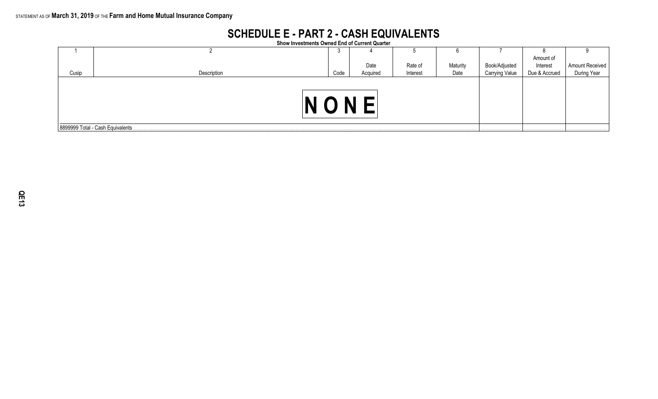# **SCHEDULE E - PART 2 - CASH EQUIVALENTS**

**Show Investments Owned End of Current Quarter**

|       |                                   | ັບ   |          |          |          |                       |               |                                |
|-------|-----------------------------------|------|----------|----------|----------|-----------------------|---------------|--------------------------------|
|       |                                   |      |          |          |          |                       | Amount of     |                                |
|       |                                   |      | Date     | Rate of  | Maturity | Book/Adjusted         | Interest      | Amount Received<br>During Year |
| Cusip | Description                       | Code | Acquired | Interest | Date     | <b>Carrying Value</b> | Due & Accrued |                                |
|       |                                   |      |          |          |          |                       |               |                                |
|       | 8899999 Total - Cash Equivalents. |      |          |          |          |                       |               |                                |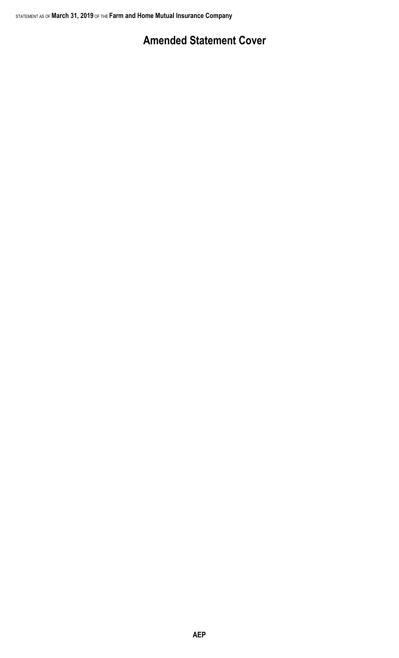# **Amended Statement Cover**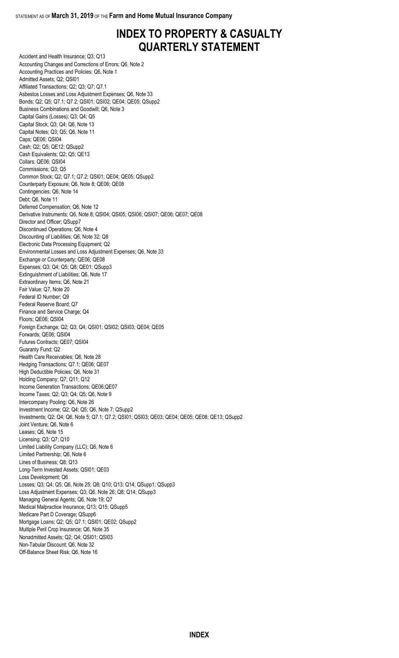# **INDEX TO PROPERTY & CASUALTY QUARTERLY STATEMENT**

Accident and Health Insurance; Q3; Q13 Accounting Changes and Corrections of Errors; Q6, Note 2 Accounting Practices and Policies; Q6, Note 1 Admitted Assets; Q2; QSI01 Affiliated Transactions; Q2; Q3; Q7; Q7.1 Asbestos Losses and Loss Adjustment Expenses; Q6, Note 33 Bonds; Q2; Q5; Q7.1; Q7.2; QSI01; QSI02; QE04; QE05; QSupp2 Business Combinations and Goodwill; Q6, Note 3 Capital Gains (Losses); Q3; Q4; Q5 Capital Stock; Q3; Q4; Q6, Note 13 Capital Notes; Q3; Q5; Q6, Note 11 Caps; QE06; QSI04 Cash; Q2; Q5; QE12; QSupp2 Cash Equivalents; Q2; Q5; QE13 Collars; QE06; QSI04 Commissions; Q3; Q5 Common Stock; Q2; Q7.1; Q7.2; QSI01; QE04; QE05; QSupp2 Counterparty Exposure; Q6, Note 8; QE06; QE08 Contingencies; Q6, Note 14 Debt; Q6, Note 11 Deferred Compensation; Q6, Note 12 Derivative Instruments; Q6, Note 8; QSI04; QSI05; QSI06; QSI07; QE06; QE07; QE08 Director and Officer; QSupp7 Discontinued Operations; Q6, Note 4 Discounting of Liabilities; Q6, Note 32; Q8 Electronic Data Processing Equipment; Q2 Environmental Losses and Loss Adjustment Expenses; Q6, Note 33 Exchange or Counterparty; QE06; QE08 Expenses; Q3; Q4; Q5; Q8; QE01; QSupp3 Extinguishment of Liabilities; Q6, Note 17 Extraordinary Items; Q6, Note 21 Fair Value; Q7, Note 20 Federal ID Number; Q9 Federal Reserve Board; Q7 Finance and Service Charge; Q4 Floors; QE06; QSI04 Foreign Exchange; Q2; Q3; Q4; QSI01; QSI02; QSI03; QE04; QE05 Forwards; QE06; QSI04 Futures Contracts; QE07; QSI04 Guaranty Fund; Q2 Health Care Receivables; Q6, Note 28 Hedging Transactions; Q7.1; QE06; QE07 High Deductible Policies; Q6, Note 31 Holding Company; Q7; Q11; Q12 Income Generation Transactions; QE06;QE07 Income Taxes; Q2; Q3; Q4; Q5; Q6, Note 9 Intercompany Pooling; Q6, Note 26 Investment Income; Q2; Q4; Q5; Q6, Note 7; QSupp2 Investments; Q2; Q4; Q6, Note 5; Q7.1; Q7.2; QSI01; QSI03; QE03; QE04; QE05; QE08; QE13; QSupp2 Joint Venture; Q6, Note 6 Leases; Q6, Note 15 Licensing; Q3; Q7; Q10 Limited Liability Company (LLC); Q6, Note 6 Limited Partnership; Q6, Note 6 Lines of Business; Q8; Q13 Long-Term Invested Assets; QSI01; QE03 Loss Development; Q6 Losses; Q3; Q4; Q5; Q6, Note 25; Q8; Q10; Q13; Q14; QSupp1; QSupp3 Loss Adjustment Expenses; Q3; Q6, Note 26; Q8; Q14; QSupp3 Managing General Agents; Q6, Note 19; Q7 Medical Malpractice Insurance; Q13; Q15; QSupp5 Medicare Part D Coverage; QSupp6 Mortgage Loans; Q2; Q5; Q7.1; QSI01; QE02; QSupp2 Multiple Peril Crop Insurance; Q6, Note 35 Nonadmitted Assets; Q2; Q4; QSI01; QSI03 Non-Tabular Discount; Q6, Note 32 Off-Balance Sheet Risk; Q6, Note 16